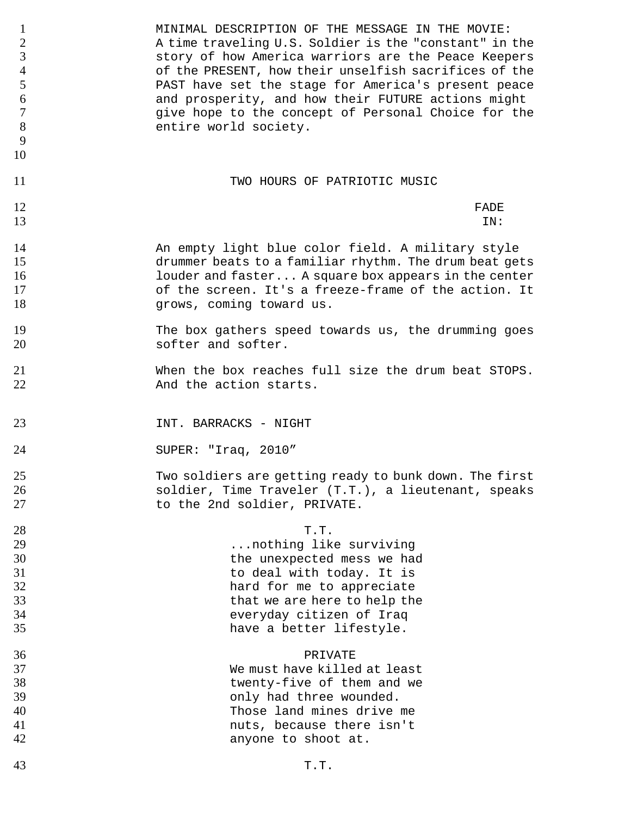| $\mathbf{1}$<br>$\frac{2}{3}$<br>$\overline{4}$<br>5<br>$\boldsymbol{6}$<br>$\overline{7}$<br>8<br>9<br>10 | MINIMAL DESCRIPTION OF THE MESSAGE IN THE MOVIE:<br>A time traveling U.S. Soldier is the "constant" in the<br>story of how America warriors are the Peace Keepers<br>of the PRESENT, how their unselfish sacrifices of the<br>PAST have set the stage for America's present peace<br>and prosperity, and how their FUTURE actions might<br>give hope to the concept of Personal Choice for the<br>entire world society. |
|------------------------------------------------------------------------------------------------------------|-------------------------------------------------------------------------------------------------------------------------------------------------------------------------------------------------------------------------------------------------------------------------------------------------------------------------------------------------------------------------------------------------------------------------|
| 11                                                                                                         | TWO HOURS OF PATRIOTIC MUSIC                                                                                                                                                                                                                                                                                                                                                                                            |
| 12                                                                                                         | FADE                                                                                                                                                                                                                                                                                                                                                                                                                    |
| 13                                                                                                         | IN:                                                                                                                                                                                                                                                                                                                                                                                                                     |
| 14                                                                                                         | An empty light blue color field. A military style                                                                                                                                                                                                                                                                                                                                                                       |
| 15                                                                                                         | drummer beats to a familiar rhythm. The drum beat gets                                                                                                                                                                                                                                                                                                                                                                  |
| 16                                                                                                         | louder and faster A square box appears in the center                                                                                                                                                                                                                                                                                                                                                                    |
| 17                                                                                                         | of the screen. It's a freeze-frame of the action. It                                                                                                                                                                                                                                                                                                                                                                    |
| 18                                                                                                         | grows, coming toward us.                                                                                                                                                                                                                                                                                                                                                                                                |
| 19                                                                                                         | The box gathers speed towards us, the drumming goes                                                                                                                                                                                                                                                                                                                                                                     |
| 20                                                                                                         | softer and softer.                                                                                                                                                                                                                                                                                                                                                                                                      |
| 21                                                                                                         | When the box reaches full size the drum beat STOPS.                                                                                                                                                                                                                                                                                                                                                                     |
| 22                                                                                                         | And the action starts.                                                                                                                                                                                                                                                                                                                                                                                                  |
| 23                                                                                                         | INT. BARRACKS - NIGHT                                                                                                                                                                                                                                                                                                                                                                                                   |
| 24                                                                                                         | SUPER: "Iraq, 2010"                                                                                                                                                                                                                                                                                                                                                                                                     |
| 25                                                                                                         | Two soldiers are getting ready to bunk down. The first                                                                                                                                                                                                                                                                                                                                                                  |
| 26                                                                                                         | soldier, Time Traveler (T.T.), a lieutenant, speaks                                                                                                                                                                                                                                                                                                                                                                     |
| 27                                                                                                         | to the 2nd soldier, PRIVATE.                                                                                                                                                                                                                                                                                                                                                                                            |
| 28                                                                                                         | T.T.                                                                                                                                                                                                                                                                                                                                                                                                                    |
| 29                                                                                                         | nothing like surviving                                                                                                                                                                                                                                                                                                                                                                                                  |
| 30                                                                                                         | the unexpected mess we had                                                                                                                                                                                                                                                                                                                                                                                              |
| 31                                                                                                         | to deal with today. It is                                                                                                                                                                                                                                                                                                                                                                                               |
| 32                                                                                                         | hard for me to appreciate                                                                                                                                                                                                                                                                                                                                                                                               |
| 33                                                                                                         | that we are here to help the                                                                                                                                                                                                                                                                                                                                                                                            |
| 34                                                                                                         | everyday citizen of Iraq                                                                                                                                                                                                                                                                                                                                                                                                |
| 35                                                                                                         | have a better lifestyle.                                                                                                                                                                                                                                                                                                                                                                                                |
| 36                                                                                                         | PRIVATE                                                                                                                                                                                                                                                                                                                                                                                                                 |
| 37                                                                                                         | We must have killed at least                                                                                                                                                                                                                                                                                                                                                                                            |
| 38                                                                                                         | twenty-five of them and we                                                                                                                                                                                                                                                                                                                                                                                              |
| 39                                                                                                         | only had three wounded.                                                                                                                                                                                                                                                                                                                                                                                                 |
| 40                                                                                                         | Those land mines drive me                                                                                                                                                                                                                                                                                                                                                                                               |
| 41                                                                                                         | nuts, because there isn't                                                                                                                                                                                                                                                                                                                                                                                               |
| 42                                                                                                         | anyone to shoot at.                                                                                                                                                                                                                                                                                                                                                                                                     |
| 43                                                                                                         | T.T.                                                                                                                                                                                                                                                                                                                                                                                                                    |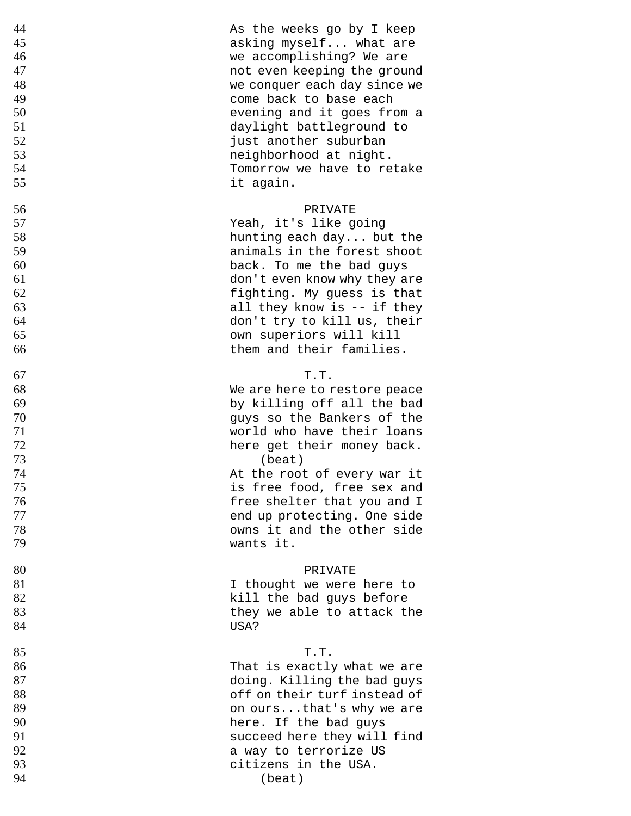| 44 | As the weeks go by I keep    |
|----|------------------------------|
| 45 | asking myself what are       |
| 46 | we accomplishing? We are     |
| 47 | not even keeping the ground  |
| 48 | we conquer each day since we |
| 49 | come back to base each       |
| 50 | evening and it goes from a   |
| 51 | daylight battleground to     |
| 52 | just another suburban        |
| 53 | neighborhood at night.       |
| 54 | Tomorrow we have to retake   |
| 55 | it again.                    |
| 56 | PRIVATE                      |
| 57 | Yeah, it's like going        |
| 58 | hunting each day but the     |
| 59 | animals in the forest shoot  |
| 60 | back. To me the bad guys     |
| 61 | don't even know why they are |
| 62 | fighting. My guess is that   |
| 63 | all they know is -- if they  |
| 64 | don't try to kill us, their  |
| 65 | own superiors will kill      |
| 66 | them and their families.     |
| 67 | T.T.                         |
| 68 | We are here to restore peace |
| 69 | by killing off all the bad   |
| 70 | guys so the Bankers of the   |
| 71 | world who have their loans   |
| 72 | here get their money back.   |
| 73 | (beat)                       |
| 74 | At the root of every war it  |
| 75 | is free food, free sex and   |
| 76 | free shelter that you and I  |
| 77 | end up protecting. One side  |
| 78 | owns it and the other side   |
| 79 | wants it.                    |
| 80 | PRIVATE                      |
| 81 | I thought we were here to    |
| 82 | kill the bad guys before     |
| 83 | they we able to attack the   |
| 84 | USA?                         |
| 85 | T.T.                         |
| 86 | That is exactly what we are  |
| 87 | doing. Killing the bad guys  |
| 88 | off on their turf instead of |
| 89 | on oursthat's why we are     |
| 90 | here. If the bad guys        |
| 91 | succeed here they will find  |
| 92 | a way to terrorize US        |
| 93 | citizens in the USA.         |
| 94 | (beat)                       |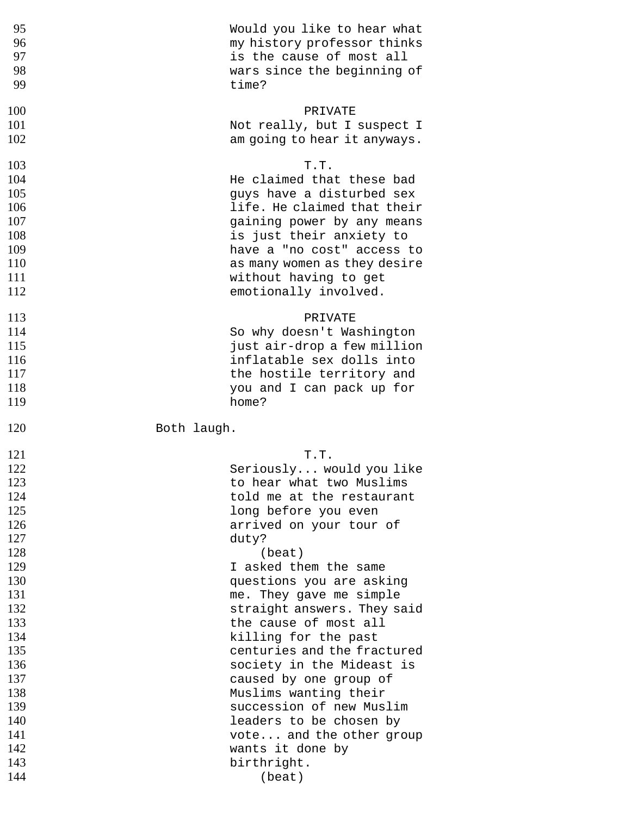| 95                                                                                                           | Would you like to hear what                                                                                                                                                                                                                                                                                                                                                                                          |
|--------------------------------------------------------------------------------------------------------------|----------------------------------------------------------------------------------------------------------------------------------------------------------------------------------------------------------------------------------------------------------------------------------------------------------------------------------------------------------------------------------------------------------------------|
| 96                                                                                                           | my history professor thinks                                                                                                                                                                                                                                                                                                                                                                                          |
| 97                                                                                                           | is the cause of most all                                                                                                                                                                                                                                                                                                                                                                                             |
| 98                                                                                                           | wars since the beginning of                                                                                                                                                                                                                                                                                                                                                                                          |
| 99                                                                                                           | time?                                                                                                                                                                                                                                                                                                                                                                                                                |
| 100                                                                                                          | PRIVATE                                                                                                                                                                                                                                                                                                                                                                                                              |
| 101                                                                                                          | Not really, but I suspect I                                                                                                                                                                                                                                                                                                                                                                                          |
| 102                                                                                                          | am going to hear it anyways.                                                                                                                                                                                                                                                                                                                                                                                         |
| 103                                                                                                          | T.T.                                                                                                                                                                                                                                                                                                                                                                                                                 |
| 104                                                                                                          | He claimed that these bad                                                                                                                                                                                                                                                                                                                                                                                            |
| 105                                                                                                          | guys have a disturbed sex                                                                                                                                                                                                                                                                                                                                                                                            |
| 106                                                                                                          | life. He claimed that their                                                                                                                                                                                                                                                                                                                                                                                          |
| 107                                                                                                          | gaining power by any means                                                                                                                                                                                                                                                                                                                                                                                           |
| 108                                                                                                          | is just their anxiety to                                                                                                                                                                                                                                                                                                                                                                                             |
| 109                                                                                                          | have a "no cost" access to                                                                                                                                                                                                                                                                                                                                                                                           |
| 110                                                                                                          | as many women as they desire                                                                                                                                                                                                                                                                                                                                                                                         |
| 111                                                                                                          | without having to get                                                                                                                                                                                                                                                                                                                                                                                                |
| 112                                                                                                          | emotionally involved.                                                                                                                                                                                                                                                                                                                                                                                                |
| 113                                                                                                          | PRIVATE                                                                                                                                                                                                                                                                                                                                                                                                              |
| 114                                                                                                          | So why doesn't Washington                                                                                                                                                                                                                                                                                                                                                                                            |
| 115                                                                                                          | just air-drop a few million                                                                                                                                                                                                                                                                                                                                                                                          |
| 116                                                                                                          | inflatable sex dolls into                                                                                                                                                                                                                                                                                                                                                                                            |
| 117                                                                                                          | the hostile territory and                                                                                                                                                                                                                                                                                                                                                                                            |
| 118                                                                                                          | you and I can pack up for                                                                                                                                                                                                                                                                                                                                                                                            |
| 119                                                                                                          | home?                                                                                                                                                                                                                                                                                                                                                                                                                |
| 120<br>Both laugh.                                                                                           |                                                                                                                                                                                                                                                                                                                                                                                                                      |
| 121<br>122<br>123<br>124<br>125<br>126<br>127                                                                | T.T.<br>Seriously would you like<br>to hear what two Muslims<br>told me at the restaurant<br>long before you even<br>arrived on your tour of                                                                                                                                                                                                                                                                         |
| 128<br>129<br>130<br>131<br>132<br>133<br>134<br>135<br>136<br>137<br>138<br>139<br>140<br>141<br>142<br>143 | duty?<br>(beat)<br>I asked them the same<br>questions you are asking<br>me. They gave me simple<br>straight answers. They said<br>the cause of most all<br>killing for the past<br>centuries and the fractured<br>society in the Mideast is<br>caused by one group of<br>Muslims wanting their<br>succession of new Muslim<br>leaders to be chosen by<br>vote and the other group<br>wants it done by<br>birthright. |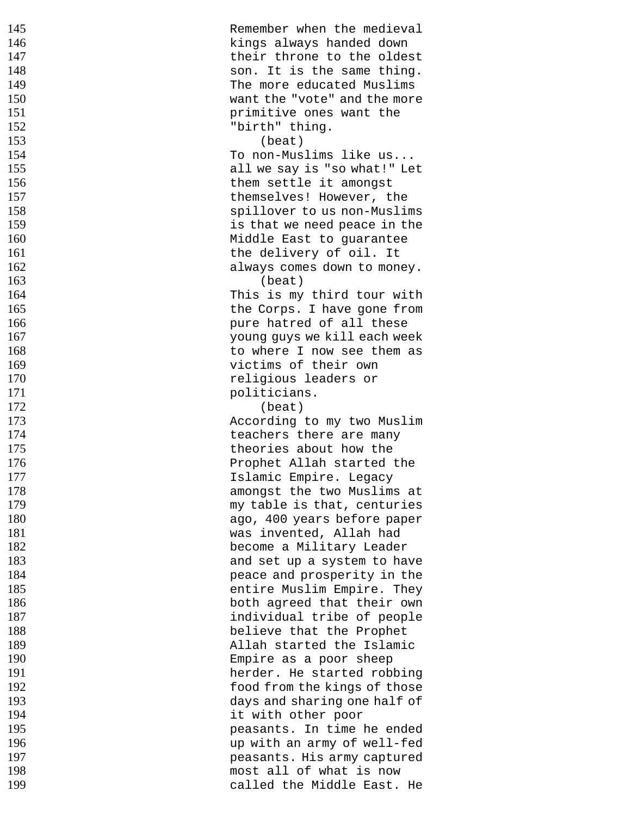| 145 | Remember when the medieval   |
|-----|------------------------------|
| 146 | kings always handed down     |
| 147 |                              |
|     | their throne to the oldest   |
| 148 | son. It is the same thing.   |
| 149 | The more educated Muslims    |
| 150 | want the "vote" and the more |
| 151 | primitive ones want the      |
| 152 | "birth" thing.               |
| 153 | (beat)                       |
|     |                              |
| 154 | To non-Muslims like us       |
| 155 | all we say is "so what!" Let |
| 156 | them settle it amongst       |
| 157 | themselves! However, the     |
| 158 | spillover to us non-Muslims  |
| 159 | is that we need peace in the |
| 160 | Middle East to guarantee     |
| 161 |                              |
|     | the delivery of oil. It      |
| 162 | always comes down to money.  |
| 163 | (beat)                       |
| 164 | This is my third tour with   |
| 165 | the Corps. I have gone from  |
| 166 | pure hatred of all these     |
| 167 | young guys we kill each week |
| 168 | to where I now see them as   |
|     |                              |
| 169 | victims of their own         |
| 170 | religious leaders or         |
| 171 | politicians.                 |
| 172 | (beat)                       |
| 173 | According to my two Muslim   |
| 174 | teachers there are many      |
| 175 | theories about how the       |
|     |                              |
| 176 | Prophet Allah started the    |
| 177 | Islamic Empire. Legacy       |
| 178 | amongst the two Muslims at   |
| 179 | my table is that, centuries  |
| 180 | ago, 400 years before paper  |
| 181 | was invented, Allah had      |
| 182 | become a Military Leader     |
| 183 | and set up a system to have  |
|     |                              |
| 184 | peace and prosperity in the  |
| 185 | entire Muslim Empire. They   |
| 186 | both agreed that their own   |
| 187 | individual tribe of people   |
| 188 | believe that the Prophet     |
| 189 | Allah started the Islamic    |
| 190 | Empire as a poor sheep       |
| 191 | herder. He started robbing   |
|     |                              |
| 192 | food from the kings of those |
| 193 | days and sharing one half of |
| 194 | it with other poor           |
| 195 | peasants. In time he ended   |
| 196 | up with an army of well-fed  |
| 197 | peasants. His army captured  |
| 198 | most all of what is now      |
|     |                              |
| 199 | called the Middle East. He   |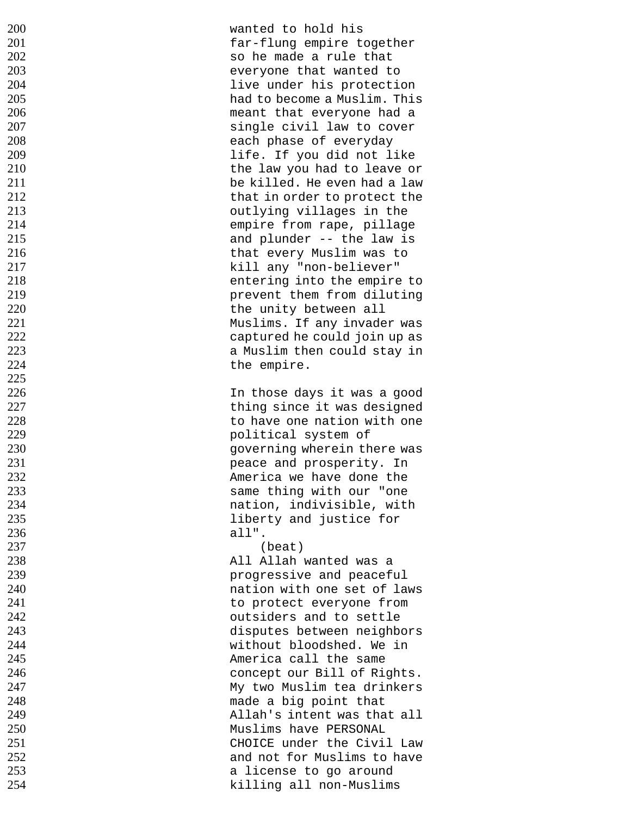| 200 | wanted to hold his           |
|-----|------------------------------|
| 201 | far-flung empire together    |
| 202 | so he made a rule that       |
| 203 | everyone that wanted to      |
|     |                              |
| 204 | live under his protection    |
| 205 | had to become a Muslim. This |
| 206 | meant that everyone had a    |
| 207 | single civil law to cover    |
| 208 | each phase of everyday       |
| 209 | life. If you did not like    |
| 210 | the law you had to leave or  |
| 211 | be killed. He even had a law |
| 212 | that in order to protect the |
| 213 | outlying villages in the     |
|     |                              |
| 214 | empire from rape, pillage    |
| 215 | and plunder -- the law is    |
| 216 | that every Muslim was to     |
| 217 | kill any "non-believer"      |
| 218 | entering into the empire to  |
| 219 | prevent them from diluting   |
| 220 | the unity between all        |
| 221 | Muslims. If any invader was  |
| 222 | captured he could join up as |
| 223 |                              |
|     | a Muslim then could stay in  |
| 224 | the empire.                  |
| 225 |                              |
| 226 | In those days it was a good  |
| 227 | thing since it was designed  |
| 228 | to have one nation with one  |
| 229 | political system of          |
| 230 | governing wherein there was  |
| 231 | peace and prosperity. In     |
| 232 | America we have done the     |
| 233 | same thing with our "one     |
| 234 | nation, indivisible, with    |
|     |                              |
| 235 | liberty and justice for      |
| 236 | all".                        |
| 237 | (beat)                       |
| 238 | All Allah wanted was a       |
| 239 | progressive and peaceful     |
| 240 | nation with one set of laws  |
| 241 | to protect everyone from     |
| 242 | outsiders and to settle      |
| 243 | disputes between neighbors   |
| 244 | without bloodshed. We in     |
| 245 | America call the same        |
|     |                              |
| 246 | concept our Bill of Rights.  |
| 247 | My two Muslim tea drinkers   |
| 248 | made a big point that        |
| 249 | Allah's intent was that all  |
| 250 | Muslims have PERSONAL        |
| 251 | CHOICE under the Civil Law   |
| 252 | and not for Muslims to have  |
| 253 | a license to go around       |
| 254 | killing all non-Muslims      |
|     |                              |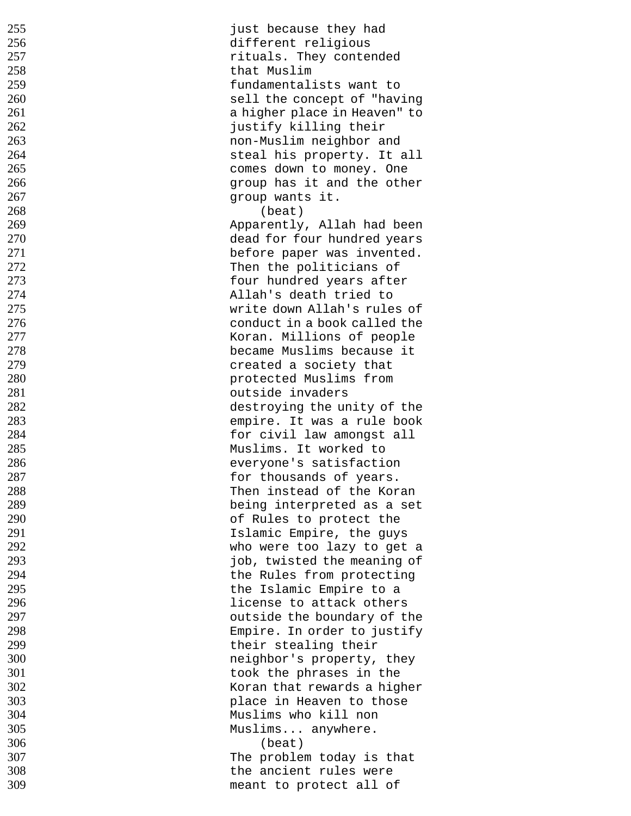| 255 | just because they had        |
|-----|------------------------------|
| 256 | different religious          |
| 257 | rituals. They contended      |
| 258 | that Muslim                  |
| 259 | fundamentalists want to      |
| 260 | sell the concept of "having  |
| 261 | a higher place in Heaven" to |
| 262 | justify killing their        |
| 263 | non-Muslim neighbor and      |
| 264 | steal his property. It all   |
| 265 | comes down to money. One     |
| 266 | group has it and the other   |
| 267 | group wants it.              |
| 268 | (beat)                       |
| 269 | Apparently, Allah had been   |
| 270 | dead for four hundred years  |
| 271 |                              |
|     | before paper was invented.   |
| 272 | Then the politicians of      |
| 273 | four hundred years after     |
| 274 | Allah's death tried to       |
| 275 | write down Allah's rules of  |
| 276 | conduct in a book called the |
| 277 | Koran. Millions of people    |
| 278 | became Muslims because it    |
| 279 | created a society that       |
| 280 | protected Muslims from       |
| 281 | outside invaders             |
| 282 | destroying the unity of the  |
| 283 | empire. It was a rule book   |
| 284 | for civil law amongst all    |
| 285 | Muslims. It worked to        |
| 286 | everyone's satisfaction      |
| 287 | for thousands of years.      |
| 288 | Then instead of the Koran    |
| 289 | being interpreted as a set   |
| 290 | of Rules to protect the      |
| 291 | Islamic Empire, the guys     |
| 292 | who were too lazy to get a   |
| 293 | job, twisted the meaning of  |
| 294 |                              |
| 295 | the Rules from protecting    |
|     | the Islamic Empire to a      |
| 296 | license to attack others     |
| 297 | outside the boundary of the  |
| 298 | Empire. In order to justify  |
| 299 | their stealing their         |
| 300 | neighbor's property, they    |
| 301 | took the phrases in the      |
| 302 | Koran that rewards a higher  |
| 303 | place in Heaven to those     |
| 304 | Muslims who kill non         |
| 305 | Muslims anywhere.            |
| 306 | (beat)                       |
| 307 | The problem today is that    |
| 308 | the ancient rules were       |
| 309 | meant to protect all of      |
|     |                              |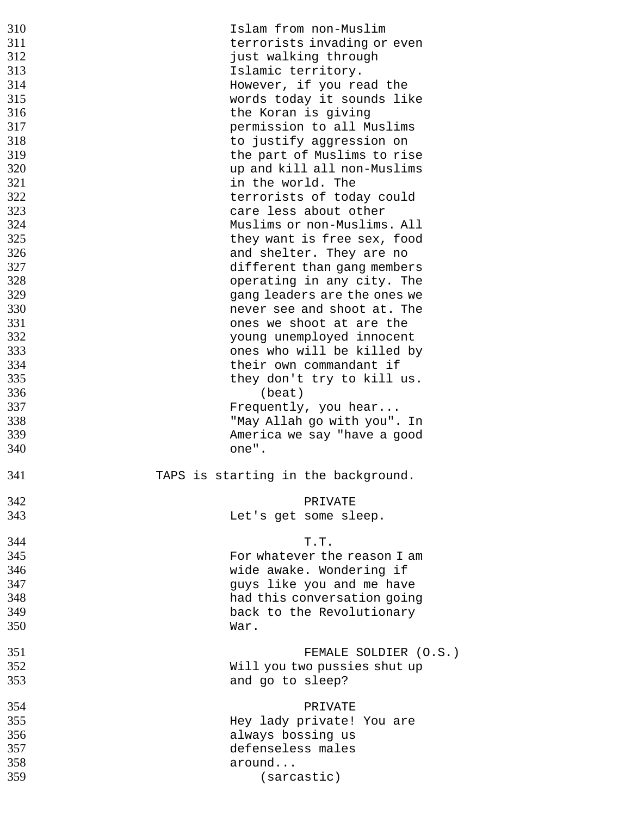| 310        | Islam from non-Muslim               |
|------------|-------------------------------------|
| 311        | terrorists invading or even         |
| 312        | just walking through                |
|            |                                     |
| 313        | Islamic territory.                  |
| 314        | However, if you read the            |
| 315        | words today it sounds like          |
|            |                                     |
| 316        | the Koran is giving                 |
| 317        | permission to all Muslims           |
| 318        |                                     |
|            | to justify aggression on            |
| 319        | the part of Muslims to rise         |
| 320        | up and kill all non-Muslims         |
| 321        |                                     |
|            | in the world. The                   |
| 322        | terrorists of today could           |
| 323        | care less about other               |
| 324        | Muslims or non-Muslims. All         |
|            |                                     |
| 325        | they want is free sex, food         |
| 326        | and shelter. They are no            |
| 327        |                                     |
|            | different than gang members         |
| 328        | operating in any city. The          |
| 329        | gang leaders are the ones we        |
| 330        | never see and shoot at. The         |
|            |                                     |
| 331        | ones we shoot at are the            |
| 332        | young unemployed innocent           |
| 333        | ones who will be killed by          |
|            |                                     |
| 334        | their own commandant if             |
| 335        | they don't try to kill us.          |
| 336        | (beat)                              |
|            |                                     |
| 337        | Frequently, you hear                |
| 338        |                                     |
|            |                                     |
|            | "May Allah go with you". In         |
| 339        | America we say "have a good         |
| 340        | one".                               |
|            |                                     |
|            |                                     |
| 341        | TAPS is starting in the background. |
|            |                                     |
| 342        | PRIVATE                             |
|            |                                     |
| 343        | Let's get some sleep.               |
|            |                                     |
| 344        | T.T.                                |
| 345        | For whatever the reason I am        |
|            |                                     |
| 346        | wide awake. Wondering if            |
| 347        | guys like you and me have           |
| 348        | had this conversation going         |
|            |                                     |
| 349        | back to the Revolutionary           |
| 350        | War.                                |
|            |                                     |
| 351        | FEMALE SOLDIER (O.S.)               |
|            |                                     |
| 352        | Will you two pussies shut up        |
| 353        | and go to sleep?                    |
|            |                                     |
|            |                                     |
| 354        | PRIVATE                             |
| 355        | Hey lady private! You are           |
| 356        | always bossing us                   |
|            |                                     |
| 357        | defenseless males                   |
| 358<br>359 | around<br>(sarcastic)               |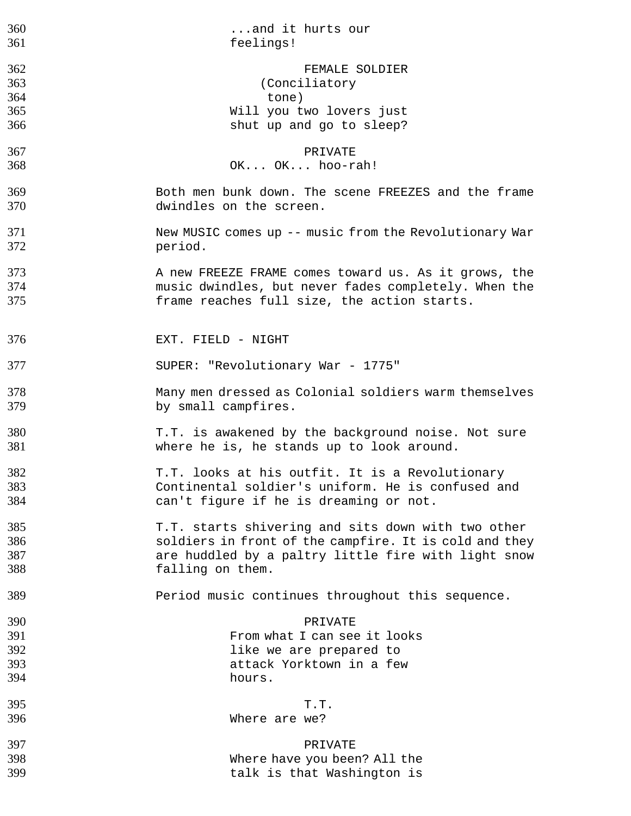| 360 | and it hurts our                                       |
|-----|--------------------------------------------------------|
| 361 | feelings!                                              |
| 362 | FEMALE SOLDIER                                         |
| 363 | (Conciliatory)                                         |
| 364 | tone)                                                  |
| 365 | Will you two lovers just                               |
| 366 | shut up and go to sleep?                               |
| 367 | PRIVATE                                                |
| 368 | OK OK hoo-rah!                                         |
| 369 | Both men bunk down. The scene FREEZES and the frame    |
| 370 | dwindles on the screen.                                |
| 371 | New MUSIC comes up -- music from the Revolutionary War |
| 372 | period.                                                |
| 373 | A new FREEZE FRAME comes toward us. As it grows, the   |
| 374 | music dwindles, but never fades completely. When the   |
| 375 | frame reaches full size, the action starts.            |
| 376 | EXT. FIELD - NIGHT                                     |
| 377 | SUPER: "Revolutionary War - 1775"                      |
| 378 | Many men dressed as Colonial soldiers warm themselves  |
| 379 | by small campfires.                                    |
| 380 | T.T. is awakened by the background noise. Not sure     |
| 381 | where he is, he stands up to look around.              |
| 382 | T.T. looks at his outfit. It is a Revolutionary        |
| 383 | Continental soldier's uniform. He is confused and      |
| 384 | can't figure if he is dreaming or not.                 |
| 385 | T.T. starts shivering and sits down with two other     |
| 386 | soldiers in front of the campfire. It is cold and they |
| 387 | are huddled by a paltry little fire with light snow    |
| 388 | falling on them.                                       |
| 389 | Period music continues throughout this sequence.       |
| 390 | PRIVATE                                                |
| 391 | From what I can see it looks                           |
| 392 | like we are prepared to                                |
| 393 | attack Yorktown in a few                               |
| 394 | hours.                                                 |
| 395 | T.T.                                                   |
| 396 | Where are we?                                          |
| 397 | PRIVATE                                                |
| 398 | Where have you been? All the                           |
| 399 | talk is that Washington is                             |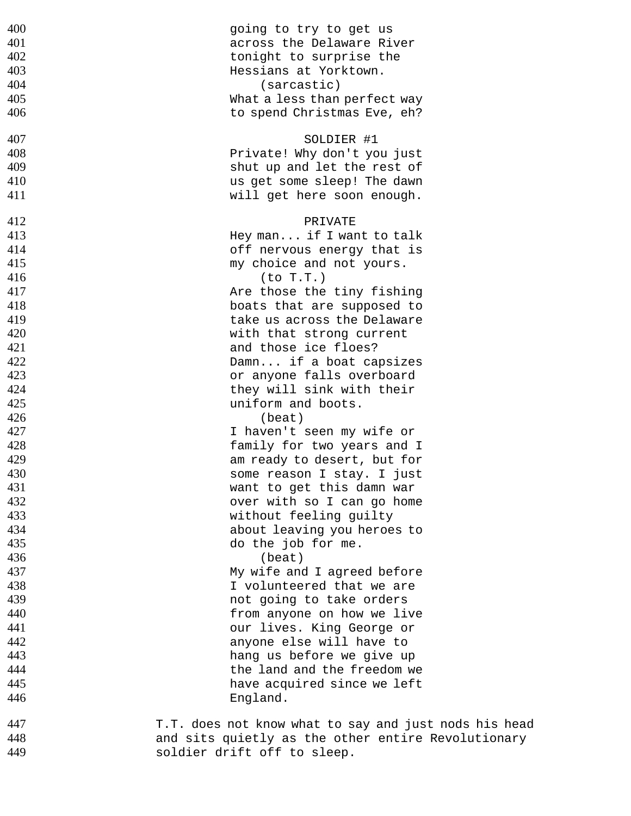| 400 | going to try to get us                                |
|-----|-------------------------------------------------------|
| 401 | across the Delaware River                             |
| 402 | tonight to surprise the                               |
| 403 | Hessians at Yorktown.                                 |
| 404 | (sarcastic)                                           |
| 405 | What a less than perfect way                          |
| 406 | to spend Christmas Eve, eh?                           |
| 407 | SOLDIER #1                                            |
| 408 | Private! Why don't you just                           |
| 409 | shut up and let the rest of                           |
| 410 | us get some sleep! The dawn                           |
| 411 | will get here soon enough.                            |
|     |                                                       |
| 412 | PRIVATE                                               |
| 413 | Hey man if I want to talk                             |
| 414 | off nervous energy that is                            |
| 415 | my choice and not yours.                              |
| 416 | (to T.T.)                                             |
| 417 | Are those the tiny fishing                            |
| 418 | boats that are supposed to                            |
| 419 | take us across the Delaware                           |
| 420 | with that strong current                              |
| 421 | and those ice floes?                                  |
| 422 | Damn if a boat capsizes                               |
| 423 | or anyone falls overboard                             |
| 424 | they will sink with their                             |
| 425 | uniform and boots.                                    |
| 426 | (beat)                                                |
| 427 | I haven't seen my wife or                             |
| 428 | family for two years and I                            |
| 429 | am ready to desert, but for                           |
| 430 | some reason I stay. I just                            |
| 431 | want to get this damn war                             |
| 432 | over with so I can go home                            |
| 433 | without feeling guilty                                |
| 434 | about leaving you heroes to                           |
| 435 | do the job for me.                                    |
| 436 | (beat)                                                |
| 437 | My wife and I agreed before                           |
| 438 | I volunteered that we are                             |
| 439 | not going to take orders                              |
| 440 | from anyone on how we live                            |
| 441 | our lives. King George or                             |
| 442 | anyone else will have to                              |
| 443 | hang us before we give up                             |
| 444 | the land and the freedom we                           |
| 445 | have acquired since we left                           |
| 446 | England.                                              |
| 447 | T.T. does not know what to say and just nods his head |
| 448 | and sits quietly as the other entire Revolutionary    |
| 449 | soldier drift off to sleep.                           |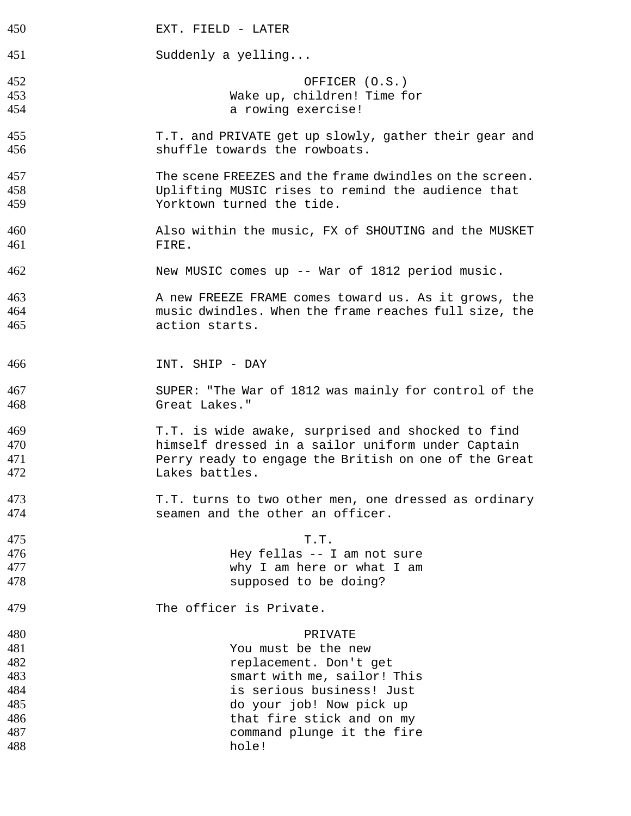| 450 | EXT. FIELD - LATER                                      |
|-----|---------------------------------------------------------|
| 451 | Suddenly a yelling                                      |
|     |                                                         |
| 452 | OFFICER (O.S.)                                          |
| 453 | Wake up, children! Time for                             |
| 454 | a rowing exercise!                                      |
| 455 | T.T. and PRIVATE get up slowly, gather their gear and   |
| 456 | shuffle towards the rowboats.                           |
| 457 | The scene FREEZES and the frame dwindles on the screen. |
| 458 | Uplifting MUSIC rises to remind the audience that       |
|     |                                                         |
| 459 | Yorktown turned the tide.                               |
| 460 | Also within the music, FX of SHOUTING and the MUSKET    |
| 461 | FIRE.                                                   |
| 462 | New MUSIC comes up -- War of 1812 period music.         |
| 463 | A new FREEZE FRAME comes toward us. As it grows, the    |
| 464 | music dwindles. When the frame reaches full size, the   |
|     |                                                         |
| 465 | action starts.                                          |
|     |                                                         |
| 466 | INT. SHIP - DAY                                         |
| 467 | SUPER: "The War of 1812 was mainly for control of the   |
| 468 | Great Lakes."                                           |
| 469 | T.T. is wide awake, surprised and shocked to find       |
| 470 | himself dressed in a sailor uniform under Captain       |
| 471 | Perry ready to engage the British on one of the Great   |
| 472 | Lakes battles.                                          |
| 473 | T.T. turns to two other men, one dressed as ordinary    |
| 474 | seamen and the other an officer.                        |
| 475 | T.T.                                                    |
| 476 | Hey fellas -- I am not sure                             |
| 477 | why I am here or what I am                              |
| 478 | supposed to be doing?                                   |
| 479 | The officer is Private.                                 |
| 480 | PRIVATE                                                 |
| 481 | You must be the new                                     |
| 482 |                                                         |
|     | replacement. Don't get                                  |
| 483 | smart with me, sailor! This                             |
| 484 | is serious business! Just                               |
| 485 | do your job! Now pick up                                |
| 486 | that fire stick and on my                               |
| 487 | command plunge it the fire                              |
| 488 | hole!                                                   |
|     |                                                         |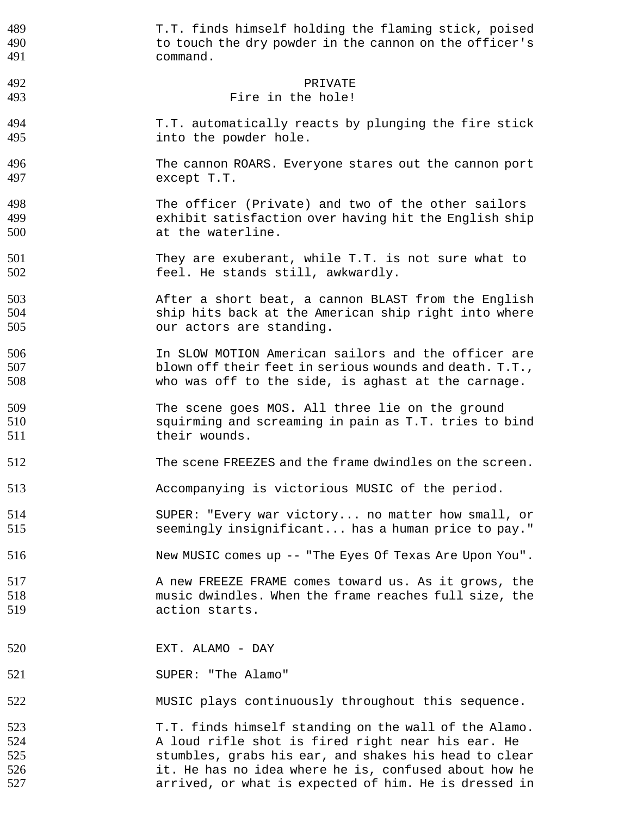| 489 | T.T. finds himself holding the flaming stick, poised    |
|-----|---------------------------------------------------------|
| 490 | to touch the dry powder in the cannon on the officer's  |
| 491 | command.                                                |
| 492 | PRIVATE                                                 |
| 493 | Fire in the hole!                                       |
| 494 | T.T. automatically reacts by plunging the fire stick    |
| 495 | into the powder hole.                                   |
| 496 | The cannon ROARS. Everyone stares out the cannon port   |
| 497 | except T.T.                                             |
| 498 | The officer (Private) and two of the other sailors      |
| 499 | exhibit satisfaction over having hit the English ship   |
| 500 | at the waterline.                                       |
| 501 | They are exuberant, while T.T. is not sure what to      |
| 502 | feel. He stands still, awkwardly.                       |
| 503 | After a short beat, a cannon BLAST from the English     |
| 504 | ship hits back at the American ship right into where    |
| 505 | our actors are standing.                                |
| 506 | In SLOW MOTION American sailors and the officer are     |
| 507 | blown off their feet in serious wounds and death. T.T., |
| 508 | who was off to the side, is aghast at the carnage.      |
| 509 | The scene goes MOS. All three lie on the ground         |
| 510 | squirming and screaming in pain as T.T. tries to bind   |
| 511 | their wounds.                                           |
| 512 | The scene FREEZES and the frame dwindles on the screen. |
| 513 | Accompanying is victorious MUSIC of the period.         |
| 514 | SUPER: "Every war victory no matter how small, or       |
| 515 | seemingly insignificant has a human price to pay."      |
| 516 | New MUSIC comes up -- "The Eyes Of Texas Are Upon You". |
| 517 | A new FREEZE FRAME comes toward us. As it grows, the    |
| 518 | music dwindles. When the frame reaches full size, the   |
| 519 | action starts.                                          |
| 520 | EXT. ALAMO - DAY                                        |
| 521 | SUPER: "The Alamo"                                      |
| 522 | MUSIC plays continuously throughout this sequence.      |
| 523 | T.T. finds himself standing on the wall of the Alamo.   |
| 524 | A loud rifle shot is fired right near his ear. He       |
| 525 | stumbles, grabs his ear, and shakes his head to clear   |
| 526 | it. He has no idea where he is, confused about how he   |
| 527 | arrived, or what is expected of him. He is dressed in   |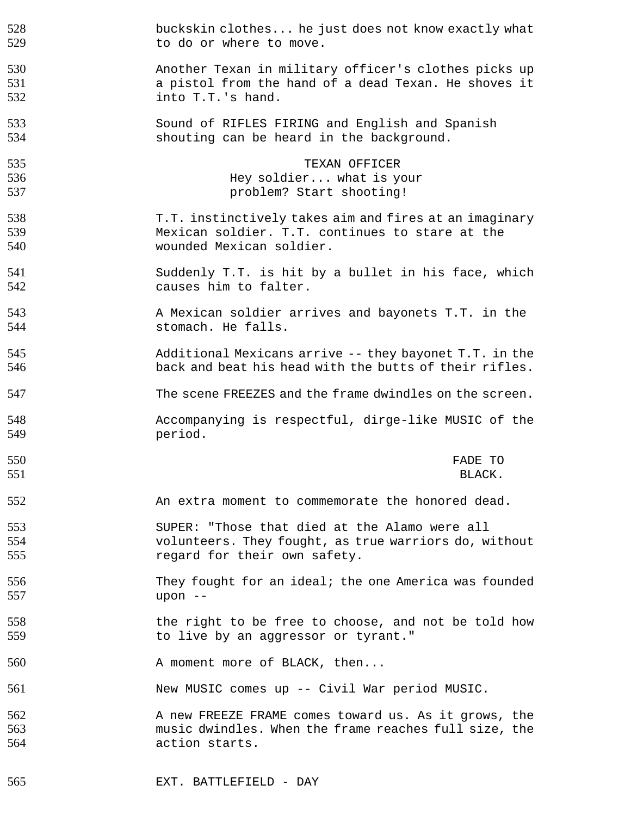| 528 | buckskin clothes he just does not know exactly what     |
|-----|---------------------------------------------------------|
| 529 | to do or where to move.                                 |
| 530 | Another Texan in military officer's clothes picks up    |
| 531 | a pistol from the hand of a dead Texan. He shoves it    |
| 532 | into T.T.'s hand.                                       |
| 533 | Sound of RIFLES FIRING and English and Spanish          |
| 534 | shouting can be heard in the background.                |
| 535 | TEXAN OFFICER                                           |
| 536 | Hey soldier what is your                                |
| 537 | problem? Start shooting!                                |
| 538 | T.T. instinctively takes aim and fires at an imaginary  |
| 539 | Mexican soldier. T.T. continues to stare at the         |
| 540 | wounded Mexican soldier.                                |
| 541 | Suddenly T.T. is hit by a bullet in his face, which     |
| 542 | causes him to falter.                                   |
| 543 | A Mexican soldier arrives and bayonets T.T. in the      |
| 544 | stomach. He falls.                                      |
| 545 | Additional Mexicans arrive -- they bayonet T.T. in the  |
| 546 | back and beat his head with the butts of their rifles.  |
| 547 | The scene FREEZES and the frame dwindles on the screen. |
| 548 | Accompanying is respectful, dirge-like MUSIC of the     |
| 549 | period.                                                 |
| 550 | FADE TO                                                 |
| 551 | BLACK.                                                  |
| 552 | An extra moment to commemorate the honored dead.        |
| 553 | SUPER: "Those that died at the Alamo were all           |
| 554 | volunteers. They fought, as true warriors do, without   |
| 555 | regard for their own safety.                            |
| 556 | They fought for an ideal; the one America was founded   |
| 557 | upon --                                                 |
| 558 | the right to be free to choose, and not be told how     |
| 559 | to live by an aggressor or tyrant."                     |
| 560 | A moment more of BLACK, then                            |
| 561 | New MUSIC comes up -- Civil War period MUSIC.           |
| 562 | A new FREEZE FRAME comes toward us. As it grows, the    |
| 563 | music dwindles. When the frame reaches full size, the   |
| 564 | action starts.                                          |
| 565 | EXT. BATTLEFIELD - DAY                                  |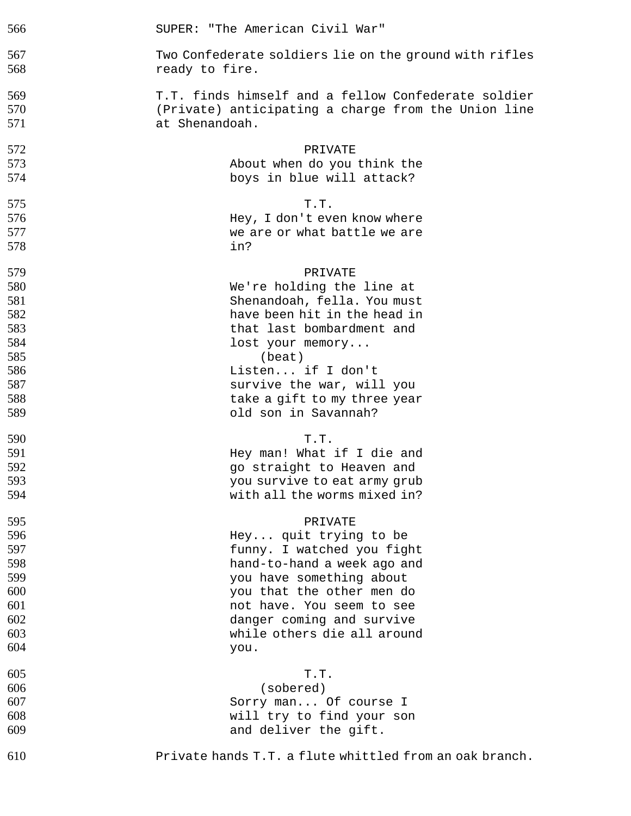| 566 | SUPER: "The American Civil War"                         |  |  |
|-----|---------------------------------------------------------|--|--|
| 567 | Two Confederate soldiers lie on the ground with rifles  |  |  |
| 568 | ready to fire.                                          |  |  |
| 569 | T.T. finds himself and a fellow Confederate soldier     |  |  |
| 570 | (Private) anticipating a charge from the Union line     |  |  |
| 571 | at Shenandoah.                                          |  |  |
| 572 | PRIVATE                                                 |  |  |
| 573 | About when do you think the                             |  |  |
| 574 | boys in blue will attack?                               |  |  |
| 575 | T.T.                                                    |  |  |
| 576 | Hey, I don't even know where                            |  |  |
| 577 | we are or what battle we are                            |  |  |
| 578 | in?                                                     |  |  |
| 579 | PRIVATE                                                 |  |  |
| 580 | We're holding the line at                               |  |  |
| 581 | Shenandoah, fella. You must                             |  |  |
| 582 | have been hit in the head in                            |  |  |
| 583 | that last bombardment and                               |  |  |
| 584 | lost your memory                                        |  |  |
| 585 | (beat)                                                  |  |  |
| 586 | Listen if I don't                                       |  |  |
| 587 | survive the war, will you                               |  |  |
| 588 | take a gift to my three year                            |  |  |
| 589 | old son in Savannah?                                    |  |  |
| 590 | T.T.                                                    |  |  |
| 591 | Hey man! What if I die and                              |  |  |
| 592 | go straight to Heaven and                               |  |  |
| 593 | you survive to eat army grub                            |  |  |
| 594 | with all the worms mixed in?                            |  |  |
| 595 | PRIVATE                                                 |  |  |
| 596 | Hey quit trying to be                                   |  |  |
| 597 | funny. I watched you fight                              |  |  |
| 598 | hand-to-hand a week ago and                             |  |  |
| 599 | you have something about                                |  |  |
| 600 | you that the other men do                               |  |  |
| 601 | not have. You seem to see                               |  |  |
| 602 | danger coming and survive                               |  |  |
| 603 | while others die all around                             |  |  |
| 604 | you.                                                    |  |  |
| 605 | T.T.                                                    |  |  |
| 606 | (sobered)                                               |  |  |
| 607 | Sorry man Of course I                                   |  |  |
| 608 | will try to find your son                               |  |  |
| 609 | and deliver the gift.                                   |  |  |
| 610 | Private hands T.T. a flute whittled from an oak branch. |  |  |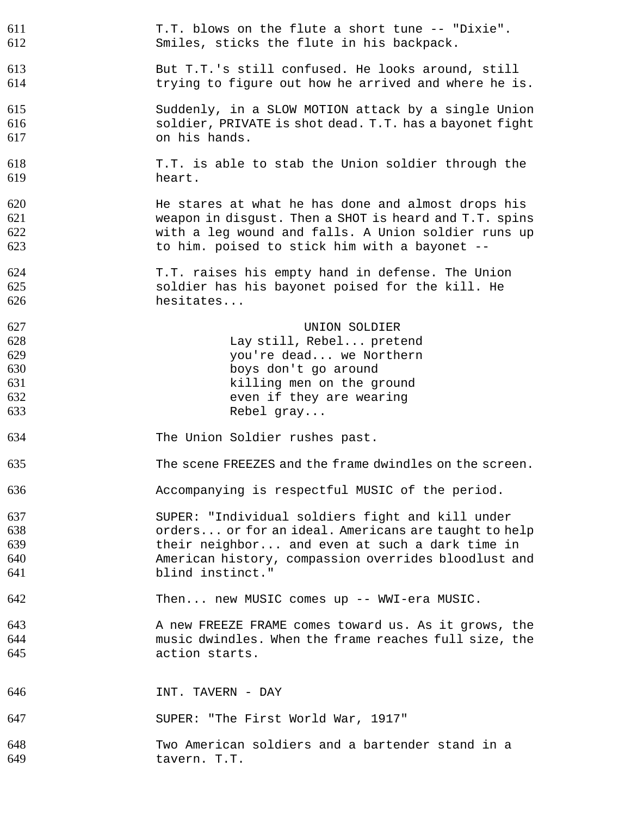| 611 | T.T. blows on the flute a short tune -- "Dixie".        |
|-----|---------------------------------------------------------|
| 612 | Smiles, sticks the flute in his backpack.               |
| 613 | But T.T.'s still confused. He looks around, still       |
| 614 | trying to figure out how he arrived and where he is.    |
| 615 | Suddenly, in a SLOW MOTION attack by a single Union     |
| 616 | soldier, PRIVATE is shot dead. T.T. has a bayonet fight |
| 617 | on his hands.                                           |
| 618 | T.T. is able to stab the Union soldier through the      |
| 619 | heart.                                                  |
| 620 | He stares at what he has done and almost drops his      |
| 621 | weapon in disgust. Then a SHOT is heard and T.T. spins  |
| 622 | with a leg wound and falls. A Union soldier runs up     |
| 623 | to him. poised to stick him with a bayonet --           |
| 624 | T.T. raises his empty hand in defense. The Union        |
| 625 | soldier has his bayonet poised for the kill. He         |
| 626 | hesitates                                               |
| 627 | UNION SOLDIER                                           |
| 628 | Lay still, Rebel pretend                                |
| 629 | you're dead we Northern                                 |
| 630 | boys don't go around                                    |
| 631 | killing men on the ground                               |
| 632 | even if they are wearing                                |
| 633 | Rebel gray                                              |
| 634 | The Union Soldier rushes past.                          |
| 635 | The scene FREEZES and the frame dwindles on the screen. |
| 636 | Accompanying is respectful MUSIC of the period.         |
| 637 | SUPER: "Individual soldiers fight and kill under        |
| 638 | orders or for an ideal. Americans are taught to help    |
| 639 | their neighbor and even at such a dark time in          |
| 640 | American history, compassion overrides bloodlust and    |
| 641 | blind instinct."                                        |
| 642 | Then new MUSIC comes up -- WWI-era MUSIC.               |
| 643 | A new FREEZE FRAME comes toward us. As it grows, the    |
| 644 | music dwindles. When the frame reaches full size, the   |
| 645 | action starts.                                          |
| 646 | INT. TAVERN - DAY                                       |
| 647 | SUPER: "The First World War, 1917"                      |
| 648 | Two American soldiers and a bartender stand in a        |
| 649 | tavern. T.T.                                            |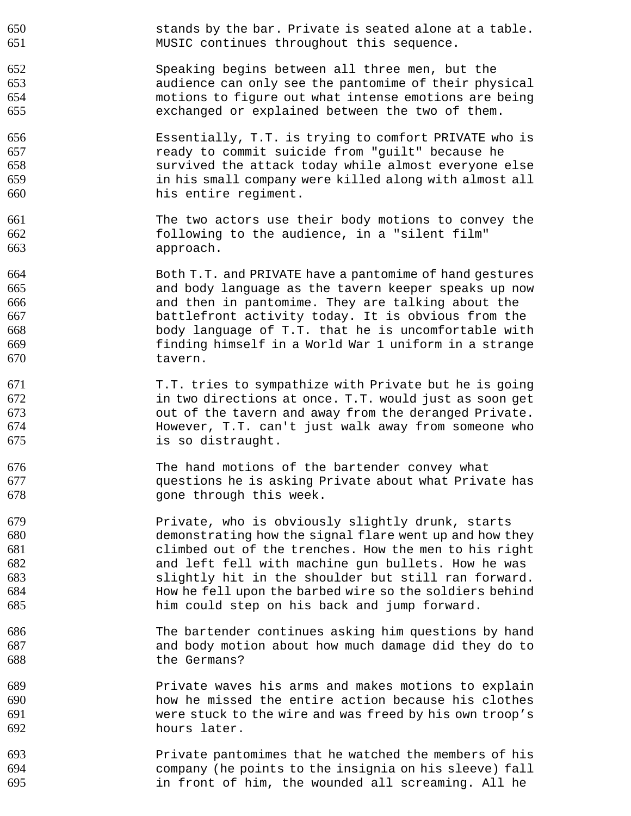stands by the bar. Private is seated alone at a table. MUSIC continues throughout this sequence. Speaking begins between all three men, but the audience can only see the pantomime of their physical motions to figure out what intense emotions are being exchanged or explained between the two of them. Essentially, T.T. is trying to comfort PRIVATE who is ready to commit suicide from "guilt" because he survived the attack today while almost everyone else in his small company were killed along with almost all his entire regiment. The two actors use their body motions to convey the following to the audience, in a "silent film" approach. Both T.T. and PRIVATE have a pantomime of hand gestures and body language as the tavern keeper speaks up now and then in pantomime. They are talking about the battlefront activity today. It is obvious from the body language of T.T. that he is uncomfortable with finding himself in a World War 1 uniform in a strange tavern. 671 T.T. tries to sympathize with Private but he is going<br>672 fin two directions at once. T.T. would just as soon get in two directions at once. T.T. would just as soon get out of the tavern and away from the deranged Private. However, T.T. can't just walk away from someone who is so distraught. The hand motions of the bartender convey what questions he is asking Private about what Private has gone through this week. Private, who is obviously slightly drunk, starts demonstrating how the signal flare went up and how they climbed out of the trenches. How the men to his right and left fell with machine gun bullets. How he was slightly hit in the shoulder but still ran forward. How he fell upon the barbed wire so the soldiers behind him could step on his back and jump forward. The bartender continues asking him questions by hand and body motion about how much damage did they do to the Germans? Private waves his arms and makes motions to explain how he missed the entire action because his clothes were stuck to the wire and was freed by his own troop's hours later. Private pantomimes that he watched the members of his company (he points to the insignia on his sleeve) fall

in front of him, the wounded all screaming. All he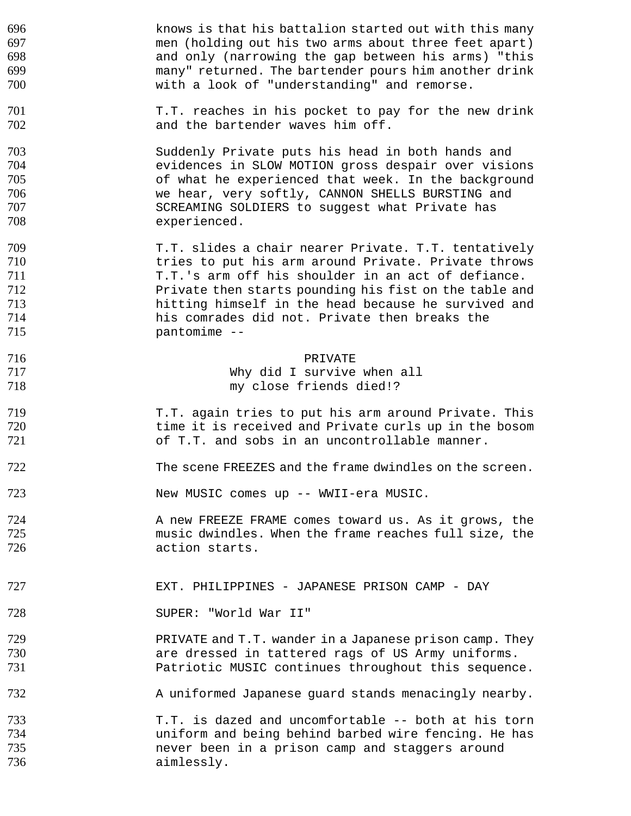knows is that his battalion started out with this many men (holding out his two arms about three feet apart) and only (narrowing the gap between his arms) "this many" returned. The bartender pours him another drink with a look of "understanding" and remorse. 701 T.T. reaches in his pocket to pay for the new drink 702 and the bartender waves him off. Suddenly Private puts his head in both hands and evidences in SLOW MOTION gross despair over visions of what he experienced that week. In the background we hear, very softly, CANNON SHELLS BURSTING and SCREAMING SOLDIERS to suggest what Private has experienced. T.T. slides a chair nearer Private. T.T. tentatively tries to put his arm around Private. Private throws 711 T.T.'s arm off his shoulder in an act of defiance. Private then starts pounding his fist on the table and hitting himself in the head because he survived and his comrades did not. Private then breaks the pantomime -- PRIVATE Why did I survive when all my close friends died!? T.T. again tries to put his arm around Private. This time it is received and Private curls up in the bosom of T.T. and sobs in an uncontrollable manner. The scene FREEZES and the frame dwindles on the screen. New MUSIC comes up -- WWII-era MUSIC. **A new FREEZE FRAME comes toward us. As it grows, the** music dwindles. When the frame reaches full size, the action starts. EXT. PHILIPPINES - JAPANESE PRISON CAMP - DAY SUPER: "World War II" **PRIVATE and T.T. wander in a Japanese prison camp. They** are dressed in tattered rags of US Army uniforms. Patriotic MUSIC continues throughout this sequence. 732 A uniformed Japanese guard stands menacingly nearby. T.T. is dazed and uncomfortable -- both at his torn uniform and being behind barbed wire fencing. He has never been in a prison camp and staggers around aimlessly.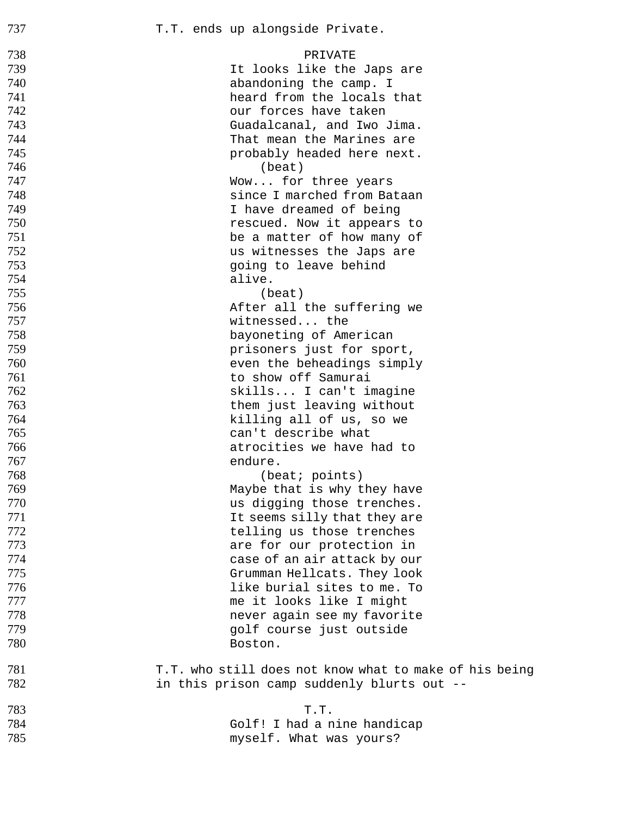| 738 | PRIVATE                                                |
|-----|--------------------------------------------------------|
| 739 | It looks like the Japs are                             |
| 740 | abandoning the camp. I                                 |
| 741 | heard from the locals that                             |
| 742 | our forces have taken                                  |
| 743 | Guadalcanal, and Iwo Jima.                             |
| 744 | That mean the Marines are                              |
| 745 | probably headed here next.                             |
| 746 | (beat)                                                 |
| 747 | Wow for three years                                    |
| 748 | since I marched from Bataan                            |
| 749 | I have dreamed of being                                |
| 750 | rescued. Now it appears to                             |
| 751 | be a matter of how many of                             |
| 752 | us witnesses the Japs are                              |
| 753 | going to leave behind                                  |
| 754 | alive.                                                 |
| 755 | (beat)                                                 |
| 756 | After all the suffering we                             |
| 757 | witnessed the                                          |
| 758 | bayoneting of American                                 |
| 759 | prisoners just for sport,                              |
| 760 | even the beheadings simply                             |
| 761 | to show off Samurai                                    |
| 762 | skills I can't imagine                                 |
| 763 | them just leaving without                              |
| 764 | killing all of us, so we                               |
| 765 | can't describe what                                    |
| 766 | atrocities we have had to                              |
| 767 | endure.                                                |
| 768 | (beat; points)                                         |
| 769 | Maybe that is why they have                            |
| 770 | us digging those trenches.                             |
| 771 | It seems silly that they are                           |
| 772 | telling us those trenches                              |
| 773 | are for our protection in                              |
| 774 | case of an air attack by our                           |
| 775 | Grumman Hellcats. They look                            |
| 776 | like burial sites to me. To                            |
| 777 | me it looks like I might                               |
| 778 | never again see my favorite                            |
| 779 | golf course just outside                               |
| 780 | Boston.                                                |
| 781 | T.T. who still does not know what to make of his being |
| 782 | in this prison camp suddenly blurts out --             |
| 783 | T.T.                                                   |
| 784 | Golf! I had a nine handicap                            |
| 785 | myself. What was yours?                                |
|     |                                                        |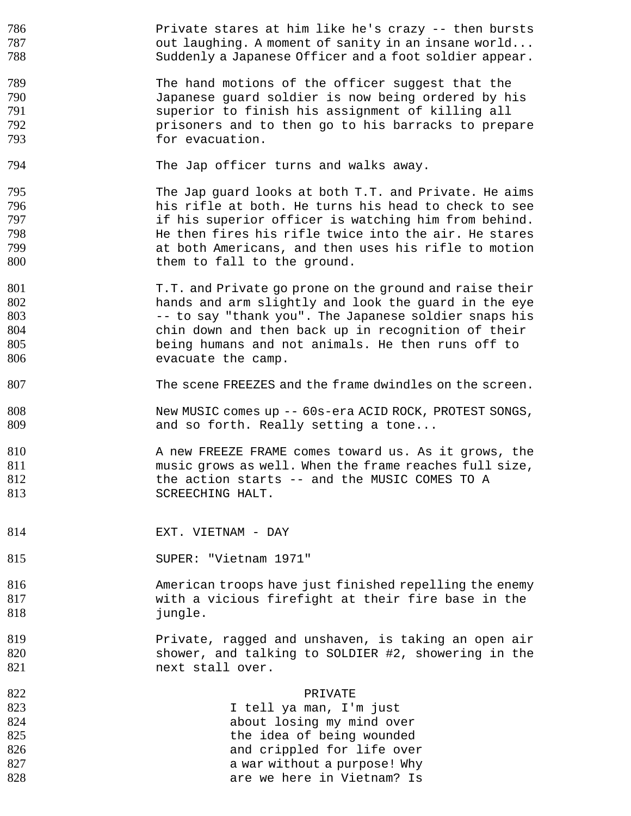786 Private stares at him like he's crazy -- then bursts **but laughing.** A moment of sanity in an insane world... Suddenly a Japanese Officer and a foot soldier appear.

789 The hand motions of the officer suggest that the<br>790 Japanese quard soldier is now being ordered by h Japanese guard soldier is now being ordered by his superior to finish his assignment of killing all prisoners and to then go to his barracks to prepare 793 for evacuation.

794 The Jap officer turns and walks away.

795 The Jap guard looks at both T.T. and Private. He aims his rifle at both. He turns his head to check to see if his superior officer is watching him from behind. He then fires his rifle twice into the air. He stares at both Americans, and then uses his rifle to motion 800 them to fall to the ground.

801 T.T. and Private go prone on the ground and raise their hands and arm slightly and look the guard in the eye 803 -- to say "thank you". The Japanese soldier snaps his chin down and then back up in recognition of their being humans and not animals. He then runs off to 806 evacuate the camp.

The scene FREEZES and the frame dwindles on the screen.

New MUSIC comes up -- 60s-era ACID ROCK, PROTEST SONGS, 809 and so forth. Really setting a tone...

810 A new FREEZE FRAME comes toward us. As it grows, the music grows as well. When the frame reaches full size, the action starts -- and the MUSIC COMES TO A 813 SCREECHING HALT.

814 EXT. VIETNAM - DAY

SUPER: "Vietnam 1971"

American troops have just finished repelling the enemy with a vicious firefight at their fire base in the 818 iungle.

**Private, ragged and unshaven, is taking an open air** shower, and talking to SOLDIER #2, showering in the 821 next stall over.

| 822 | PRIVATE                      |
|-----|------------------------------|
| 823 | I tell ya man, I'm just      |
| 824 | about losing my mind over    |
| 825 | the idea of being wounded    |
| 826 | and crippled for life over   |
| 827 | a war without a purpose! Why |
| 828 | are we here in Vietnam? Is   |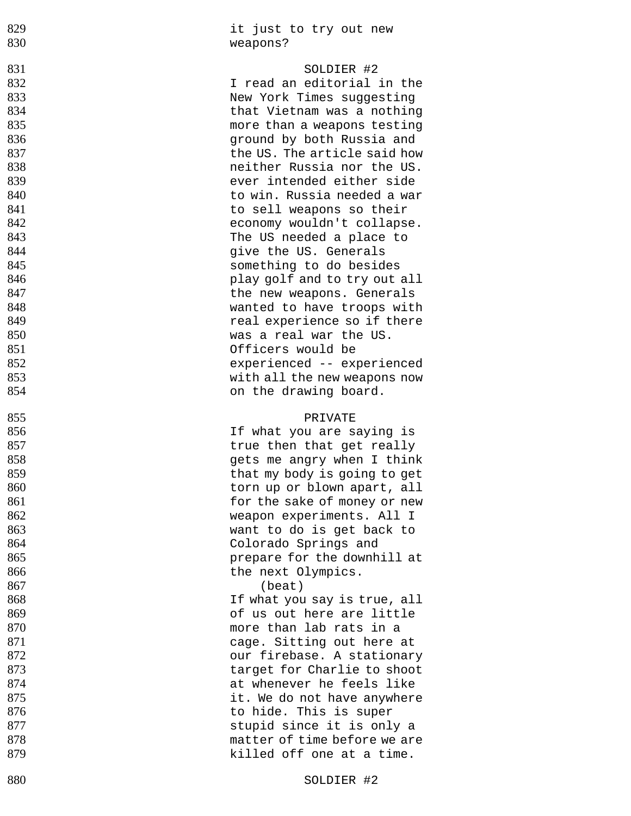| 829<br>830 | it just to try out new<br>weapons?                     |
|------------|--------------------------------------------------------|
| 831        | SOLDIER #2                                             |
| 832        | I read an editorial in the                             |
| 833        | New York Times suggesting                              |
| 834        | that Vietnam was a nothing                             |
| 835        | more than a weapons testing                            |
| 836        | ground by both Russia and                              |
| 837        | the US. The article said how                           |
| 838        | neither Russia nor the US.                             |
| 839        | ever intended either side                              |
| 840        | to win. Russia needed a war                            |
| 841        | to sell weapons so their                               |
| 842        | economy wouldn't collapse.                             |
| 843        | The US needed a place to                               |
| 844        | give the US. Generals                                  |
| 845        | something to do besides                                |
| 846        | play golf and to try out all                           |
| 847        | the new weapons. Generals                              |
| 848        | wanted to have troops with                             |
| 849        | real experience so if there                            |
| 850        | was a real war the US.                                 |
| 851        | Officers would be                                      |
| 852        | experienced -- experienced                             |
| 853        | with all the new weapons now                           |
| 854        | on the drawing board.                                  |
|            |                                                        |
|            | PRIVATE                                                |
| 855<br>856 |                                                        |
| 857        | If what you are saying is<br>true then that get really |
| 858        | gets me angry when I think                             |
| 859        | that my body is going to get                           |
| 860        | torn up or blown apart, all                            |
| 861        | for the sake of money or new                           |
| 862        | weapon experiments. All I                              |
| 863        | want to do is get back to                              |
| 864        | Colorado Springs and                                   |
| 865        | prepare for the downhill at                            |
| 866        | the next Olympics.                                     |
| 867        | (beat)                                                 |
| 868        | If what you say is true, all                           |
| 869        | of us out here are little                              |
| 870        | more than lab rats in a                                |
| 871        | cage. Sitting out here at                              |
| 872        | our firebase. A stationary                             |
| 873        | target for Charlie to shoot                            |
| 874        | at whenever he feels like                              |
| 875        | it. We do not have anywhere                            |
| 876        | to hide. This is super                                 |
| 877        | stupid since it is only a                              |
| 878        | matter of time before we are                           |
| 879        | killed off one at a time.                              |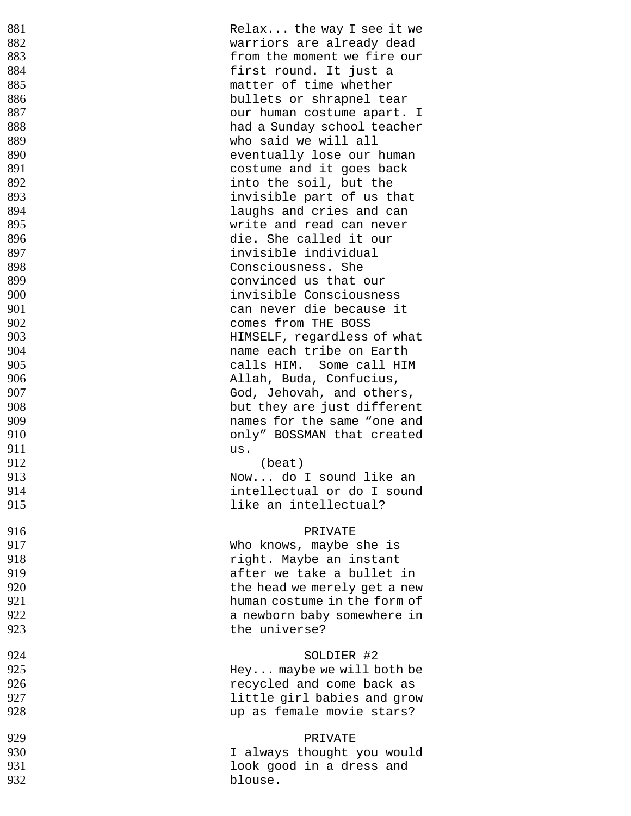| 881 | Relax the way I see it we    |
|-----|------------------------------|
| 882 | warriors are already dead    |
| 883 | from the moment we fire our  |
| 884 | first round. It just a       |
| 885 | matter of time whether       |
| 886 | bullets or shrapnel tear     |
| 887 |                              |
|     | our human costume apart. I   |
| 888 | had a Sunday school teacher  |
| 889 | who said we will all         |
| 890 | eventually lose our human    |
| 891 | costume and it goes back     |
| 892 | into the soil, but the       |
| 893 | invisible part of us that    |
| 894 | laughs and cries and can     |
| 895 | write and read can never     |
| 896 | die. She called it our       |
| 897 | invisible individual         |
| 898 | Consciousness. She           |
| 899 | convinced us that our        |
| 900 | invisible Consciousness      |
| 901 | can never die because it     |
| 902 | comes from THE BOSS          |
|     |                              |
| 903 | HIMSELF, regardless of what  |
| 904 | name each tribe on Earth     |
| 905 | calls HIM. Some call HIM     |
| 906 | Allah, Buda, Confucius,      |
| 907 | God, Jehovah, and others,    |
| 908 | but they are just different  |
| 909 | names for the same "one and  |
| 910 | only" BOSSMAN that created   |
| 911 | us.                          |
| 912 | (beat)                       |
| 913 | Now do I sound like an       |
| 914 | intellectual or do I sound   |
| 915 | like an intellectual?        |
|     |                              |
| 916 | PRIVATE                      |
| 917 | Who knows, maybe she is      |
| 918 | right. Maybe an instant      |
| 919 | after we take a bullet in    |
| 920 | the head we merely get a new |
| 921 | human costume in the form of |
|     |                              |
| 922 | a newborn baby somewhere in  |
| 923 | the universe?                |
|     |                              |
| 924 | SOLDIER #2                   |
| 925 | Hey maybe we will both be    |
| 926 | recycled and come back as    |
| 927 | little girl babies and grow  |
| 928 | up as female movie stars?    |
| 929 | PRIVATE                      |
| 930 |                              |
|     | I always thought you would   |
| 931 | look good in a dress and     |
| 932 | blouse.                      |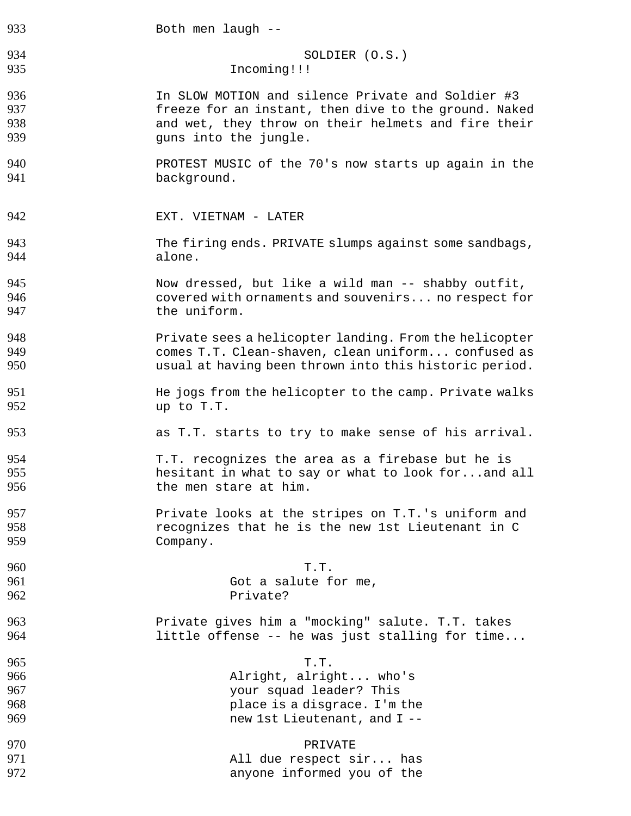| 933 | Both men laugh --                                      |
|-----|--------------------------------------------------------|
| 934 | SOLDIER (O.S.)                                         |
| 935 | Incoming!!!                                            |
| 936 | In SLOW MOTION and silence Private and Soldier #3      |
| 937 | freeze for an instant, then dive to the ground. Naked  |
| 938 | and wet, they throw on their helmets and fire their    |
| 939 | guns into the jungle.                                  |
| 940 | PROTEST MUSIC of the 70's now starts up again in the   |
| 941 | background.                                            |
| 942 | EXT. VIETNAM - LATER                                   |
| 943 | The firing ends. PRIVATE slumps against some sandbags, |
| 944 | alone.                                                 |
| 945 | Now dressed, but like a wild man -- shabby outfit,     |
| 946 | covered with ornaments and souvenirs no respect for    |
| 947 | the uniform.                                           |
| 948 | Private sees a helicopter landing. From the helicopter |
| 949 | comes T.T. Clean-shaven, clean uniform confused as     |
| 950 | usual at having been thrown into this historic period. |
| 951 | He jogs from the helicopter to the camp. Private walks |
| 952 | up to T.T.                                             |
| 953 | as T.T. starts to try to make sense of his arrival.    |
| 954 | T.T. recognizes the area as a firebase but he is       |
| 955 | hesitant in what to say or what to look forand all     |
| 956 | the men stare at him.                                  |
| 957 | Private looks at the stripes on T.T.'s uniform and     |
| 958 | recognizes that he is the new 1st Lieutenant in C      |
| 959 | Company.                                               |
| 960 | T.T.                                                   |
| 961 | Got a salute for me,                                   |
| 962 | Private?                                               |
| 963 | Private gives him a "mocking" salute. T.T. takes       |
| 964 | little offense -- he was just stalling for time        |
| 965 | T.T.                                                   |
| 966 | Alright, alright who's                                 |
| 967 | your squad leader? This                                |
| 968 | place is a disgrace. I'm the                           |
| 969 | new 1st Lieutenant, and I --                           |
| 970 | PRIVATE                                                |
| 971 | All due respect sir has                                |
| 972 | anyone informed you of the                             |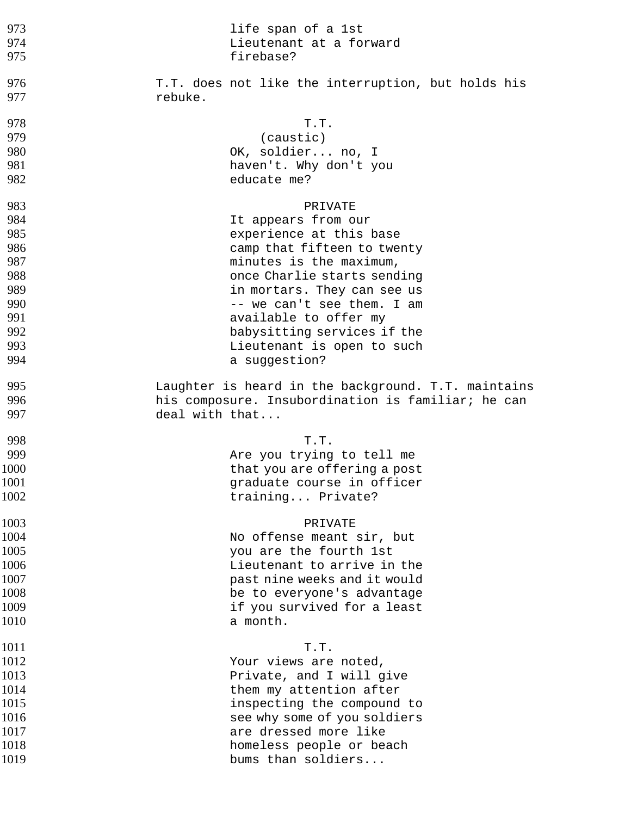| 973  | life span of a 1st                                  |
|------|-----------------------------------------------------|
| 974  | Lieutenant at a forward                             |
| 975  | firebase?                                           |
| 976  | T.T. does not like the interruption, but holds his  |
| 977  | rebuke.                                             |
| 978  | T.T.                                                |
| 979  | (caustic)                                           |
| 980  | OK, soldier no, I                                   |
| 981  | haven't. Why don't you                              |
| 982  | educate me?                                         |
| 983  | PRIVATE                                             |
| 984  | It appears from our                                 |
| 985  | experience at this base                             |
| 986  | camp that fifteen to twenty                         |
| 987  | minutes is the maximum,                             |
| 988  | once Charlie starts sending                         |
| 989  | in mortars. They can see us                         |
| 990  | -- we can't see them. I am                          |
| 991  | available to offer my                               |
| 992  | babysitting services if the                         |
| 993  | Lieutenant is open to such                          |
| 994  | a suggestion?                                       |
| 995  | Laughter is heard in the background. T.T. maintains |
| 996  | his composure. Insubordination is familiar; he can  |
| 997  | deal with that                                      |
| 998  | T.T.                                                |
| 999  | Are you trying to tell me                           |
| 1000 | that you are offering a post                        |
| 1001 | graduate course in officer                          |
| 1002 | training Private?                                   |
| 1003 | PRIVATE                                             |
| 1004 | No offense meant sir, but                           |
| 1005 | you are the fourth 1st                              |
| 1006 | Lieutenant to arrive in the                         |
| 1007 | past nine weeks and it would                        |
| 1008 | be to everyone's advantage                          |
| 1009 | if you survived for a least                         |
| 1010 | a month.                                            |
| 1011 | T.T.                                                |
| 1012 | Your views are noted,                               |
| 1013 | Private, and I will give                            |
| 1014 | them my attention after                             |
| 1015 | inspecting the compound to                          |
| 1016 | see why some of you soldiers                        |
| 1017 | are dressed more like                               |
| 1018 | homeless people or beach                            |
| 1019 | bums than soldiers                                  |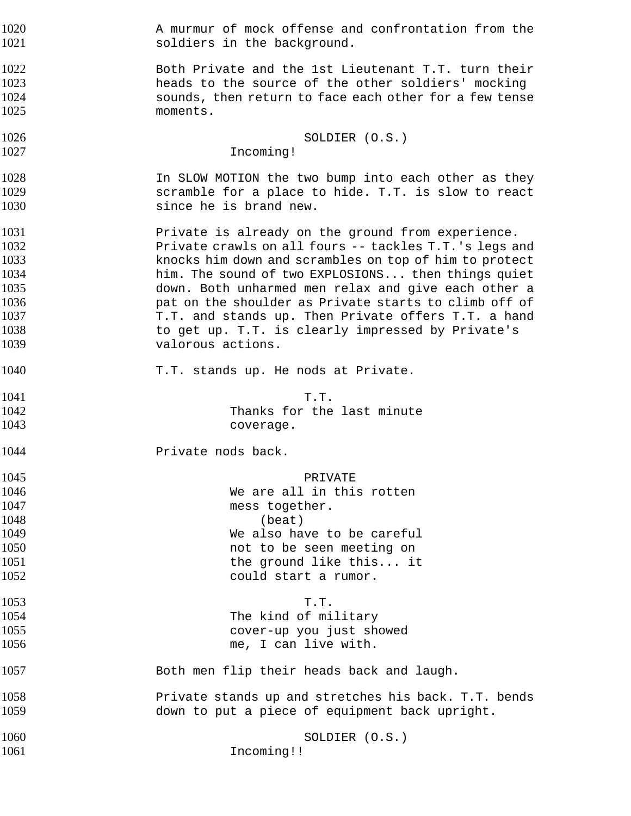A murmur of mock offense and confrontation from the **Soldiers** in the background.

Both Private and the 1st Lieutenant T.T. turn their heads to the source of the other soldiers' mocking sounds, then return to face each other for a few tense moments.

SOLDIER (O.S.) Incoming!

1028 1028 In SLOW MOTION the two bump into each other as they scramble for a place to hide. T.T. is slow to react since he is brand new.

Private is already on the ground from experience. Private crawls on all fours -- tackles T.T.'s legs and knocks him down and scrambles on top of him to protect him. The sound of two EXPLOSIONS... then things quiet down. Both unharmed men relax and give each other a **pat on the shoulder as Private starts to climb off of** 1037 T.T. and stands up. Then Private offers T.T. a hand 1038 to get up. T.T. is clearly impressed by Private's valorous actions.

T.T. stands up. He nods at Private.

1041 T.T. Thanks for the last minute

coverage.

**Private nods back.** 

PRIVATE We are all in this rotten 1047 mess together. 1048 (beat) We also have to be careful not to be seen meeting on 1051 1051 the ground like this... it could start a rumor.

T.T. The kind of military cover-up you just showed me, I can live with.

Both men flip their heads back and laugh.

Private stands up and stretches his back. T.T. bends down to put a piece of equipment back upright.

1060 SOLDIER (O.S.) 1061 Incoming!!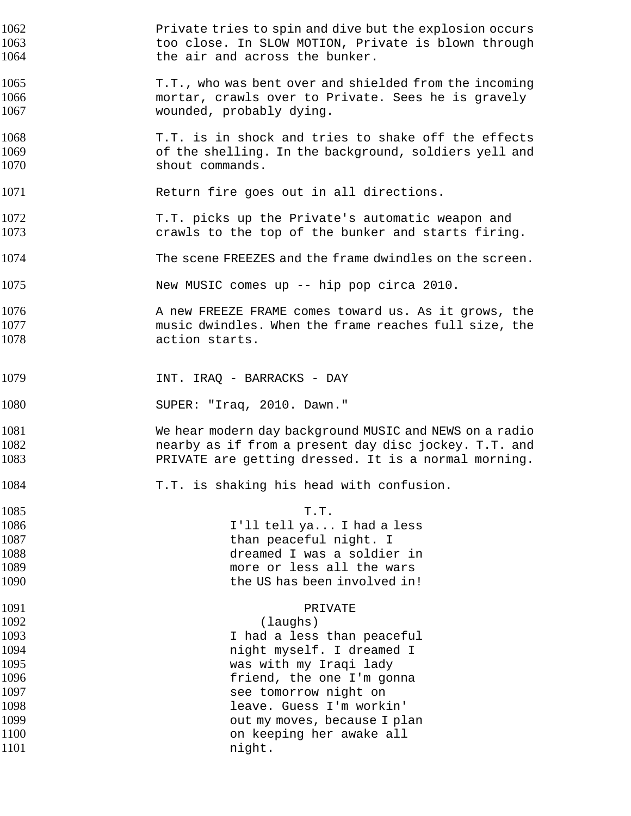Private tries to spin and dive but the explosion occurs too close. In SLOW MOTION, Private is blown through **the air and across the bunker.** T.T., who was bent over and shielded from the incoming mortar, crawls over to Private. Sees he is gravely wounded, probably dying. T.T. is in shock and tries to shake off the effects of the shelling. In the background, soldiers yell and 1070 shout commands. 1071 Return fire goes out in all directions. T.T. picks up the Private's automatic weapon and crawls to the top of the bunker and starts firing. 1074 The scene FREEZES and the frame dwindles on the screen. New MUSIC comes up -- hip pop circa 2010. **A new FREEZE FRAME comes toward us. As it grows, the** music dwindles. When the frame reaches full size, the action starts. **INT. IRAQ - BARRACKS - DAY** SUPER: "Iraq, 2010. Dawn." We hear modern day background MUSIC and NEWS on a radio nearby as if from a present day disc jockey. T.T. and PRIVATE are getting dressed. It is a normal morning. T.T. is shaking his head with confusion. 1085 T.T. I'll tell ya... I had a less than peaceful night. I dreamed I was a soldier in more or less all the wars the US has been involved in! PRIVATE (laughs) I had a less than peaceful **night myself.** I dreamed I was with my Iraqi lady friend, the one I'm gonna see tomorrow night on leave. Guess I'm workin' **1099 because I plan** but my moves, because I plan on keeping her awake all 1101 night.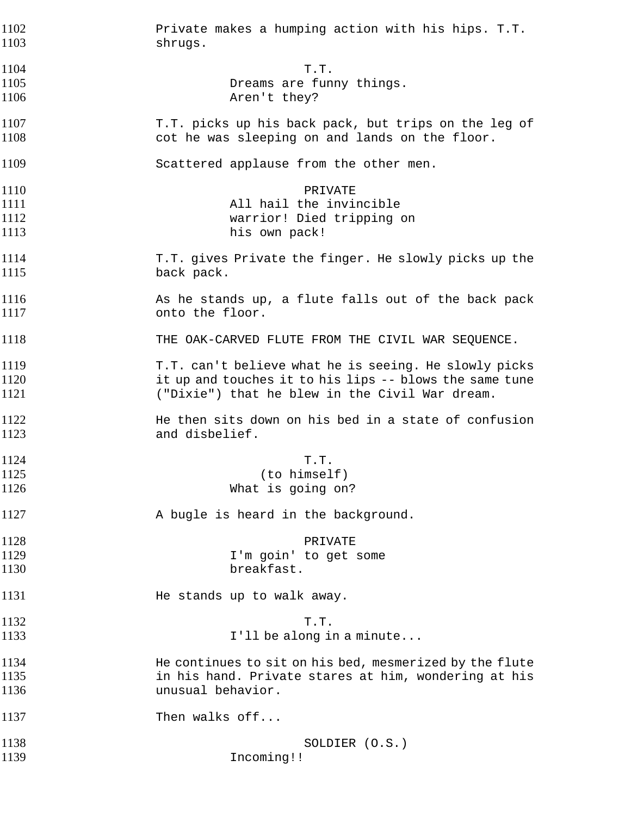Private makes a humping action with his hips. T.T. shrugs. 1104 T.T. Dreams are funny things. **Aren't** they? T.T. picks up his back pack, but trips on the leg of cot he was sleeping on and lands on the floor. Scattered applause from the other men. 1110 PRIVATE **All hail the invincible** warrior! Died tripping on 1113 his own pack! T.T. gives Private the finger. He slowly picks up the 1115 back pack. 1116 As he stands up, a flute falls out of the back pack onto the floor. 1118 THE OAK-CARVED FLUTE FROM THE CIVIL WAR SEQUENCE. T.T. can't believe what he is seeing. He slowly picks it up and touches it to his lips -- blows the same tune ("Dixie") that he blew in the Civil War dream. **He then sits down on his bed in a state of confusion** and disbelief. 1124 T.T. (to himself) 1126 What is going on? A bugle is heard in the background. PRIVATE I'm goin' to get some 1130 breakfast. **He stands up to walk away.** 1132 T.T. I'll be along in a minute... He continues to sit on his bed, mesmerized by the flute in his hand. Private stares at him, wondering at his unusual behavior. 1137 Then walks off... SOLDIER (O.S.) Incoming!!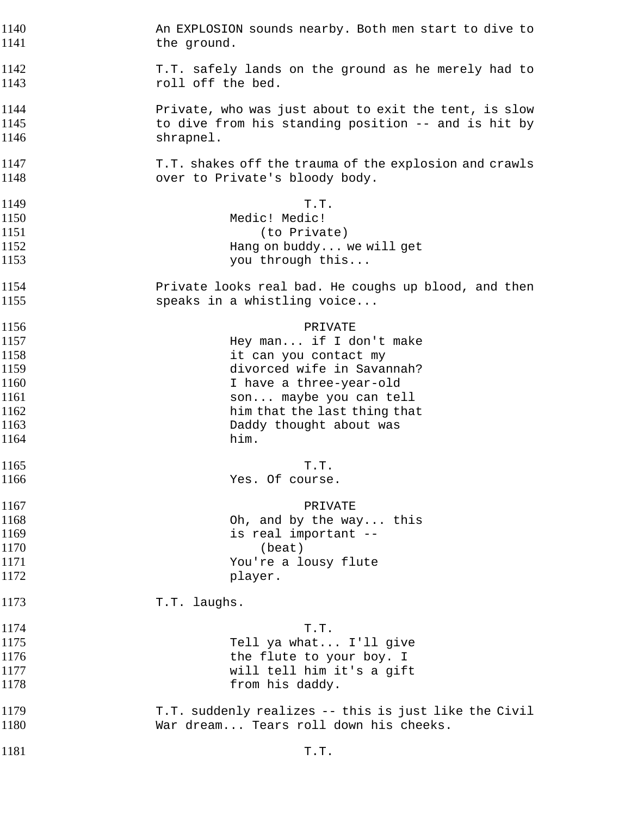| 1140 | An EXPLOSION sounds nearby. Both men start to dive to  |  |
|------|--------------------------------------------------------|--|
| 1141 | the ground.                                            |  |
| 1142 | T.T. safely lands on the ground as he merely had to    |  |
| 1143 | roll off the bed.                                      |  |
| 1144 | Private, who was just about to exit the tent, is slow  |  |
| 1145 | to dive from his standing position -- and is hit by    |  |
| 1146 | shrapnel.                                              |  |
| 1147 | T.T. shakes off the trauma of the explosion and crawls |  |
| 1148 | over to Private's bloody body.                         |  |
| 1149 | T.T.                                                   |  |
| 1150 | Medic! Medic!                                          |  |
| 1151 | (to Private)                                           |  |
| 1152 | Hang on buddy we will get                              |  |
| 1153 | you through this                                       |  |
| 1154 | Private looks real bad. He coughs up blood, and then   |  |
| 1155 | speaks in a whistling voice                            |  |
| 1156 | PRIVATE                                                |  |
| 1157 | Hey man if I don't make                                |  |
| 1158 | it can you contact my                                  |  |
| 1159 | divorced wife in Savannah?                             |  |
| 1160 | I have a three-year-old                                |  |
| 1161 | son maybe you can tell                                 |  |
| 1162 | him that the last thing that                           |  |
| 1163 | Daddy thought about was                                |  |
| 1164 | him.                                                   |  |
| 1165 | T.T.                                                   |  |
| 1166 | Yes. Of course.                                        |  |
| 1167 | PRIVATE                                                |  |
| 1168 | Oh, and by the way this                                |  |
| 1169 | is real important --                                   |  |
| 1170 | (beat)                                                 |  |
| 1171 | You're a lousy flute                                   |  |
| 1172 | player.                                                |  |
| 1173 | T.T. laughs.                                           |  |
| 1174 | T.T.                                                   |  |
| 1175 | Tell ya what I'll give                                 |  |
| 1176 | the flute to your boy. I                               |  |
| 1177 | will tell him it's a gift                              |  |
| 1178 | from his daddy.                                        |  |
| 1179 | T.T. suddenly realizes -- this is just like the Civil  |  |
| 1180 | War dream Tears roll down his cheeks.                  |  |
| 1181 | T.T.                                                   |  |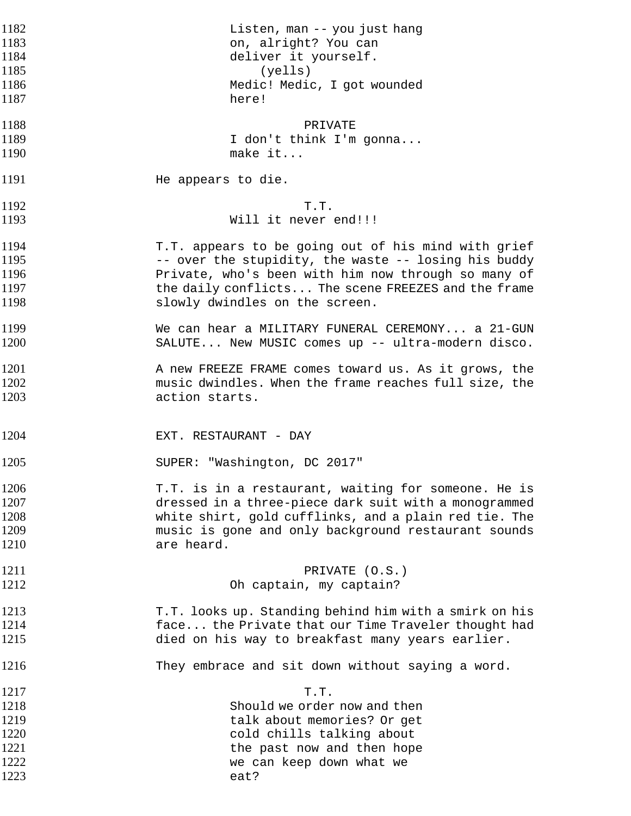| 1182 | Listen, man -- you just hang                           |
|------|--------------------------------------------------------|
| 1183 | on, alright? You can                                   |
|      |                                                        |
| 1184 | deliver it yourself.                                   |
| 1185 | (yells)                                                |
| 1186 | Medic! Medic, I got wounded                            |
| 1187 | here!                                                  |
| 1188 | PRIVATE                                                |
| 1189 | I don't think I'm gonna                                |
| 1190 | make it                                                |
|      |                                                        |
| 1191 | He appears to die.                                     |
| 1192 | T.T.                                                   |
| 1193 | Will it never end!!!                                   |
|      |                                                        |
| 1194 | T.T. appears to be going out of his mind with grief    |
| 1195 | -- over the stupidity, the waste -- losing his buddy   |
| 1196 | Private, who's been with him now through so many of    |
| 1197 | the daily conflicts The scene FREEZES and the frame    |
| 1198 | slowly dwindles on the screen.                         |
| 1199 | We can hear a MILITARY FUNERAL CEREMONY a 21-GUN       |
| 1200 | SALUTE New MUSIC comes up -- ultra-modern disco.       |
|      |                                                        |
| 1201 | A new FREEZE FRAME comes toward us. As it grows, the   |
| 1202 | music dwindles. When the frame reaches full size, the  |
| 1203 | action starts.                                         |
|      |                                                        |
| 1204 | EXT. RESTAURANT - DAY                                  |
| 1205 | SUPER: "Washington, DC 2017"                           |
| 1206 | T.T. is in a restaurant, waiting for someone. He is    |
| 1207 | dressed in a three-piece dark suit with a monogrammed  |
|      |                                                        |
| 1208 | white shirt, gold cufflinks, and a plain red tie. The  |
| 1209 | music is gone and only background restaurant sounds    |
| 1210 | are heard.                                             |
| 1211 | PRIVATE (O.S.)                                         |
| 1212 | Oh captain, my captain?                                |
| 1213 | T.T. looks up. Standing behind him with a smirk on his |
| 1214 | face the Private that our Time Traveler thought had    |
| 1215 | died on his way to breakfast many years earlier.       |
|      |                                                        |
| 1216 | They embrace and sit down without saying a word.       |
| 1217 | T.T.                                                   |
| 1218 | Should we order now and then                           |
| 1219 | talk about memories? Or get                            |
| 1220 | cold chills talking about                              |
| 1221 | the past now and then hope                             |
| 1222 | we can keep down what we                               |
| 1223 | eat?                                                   |
|      |                                                        |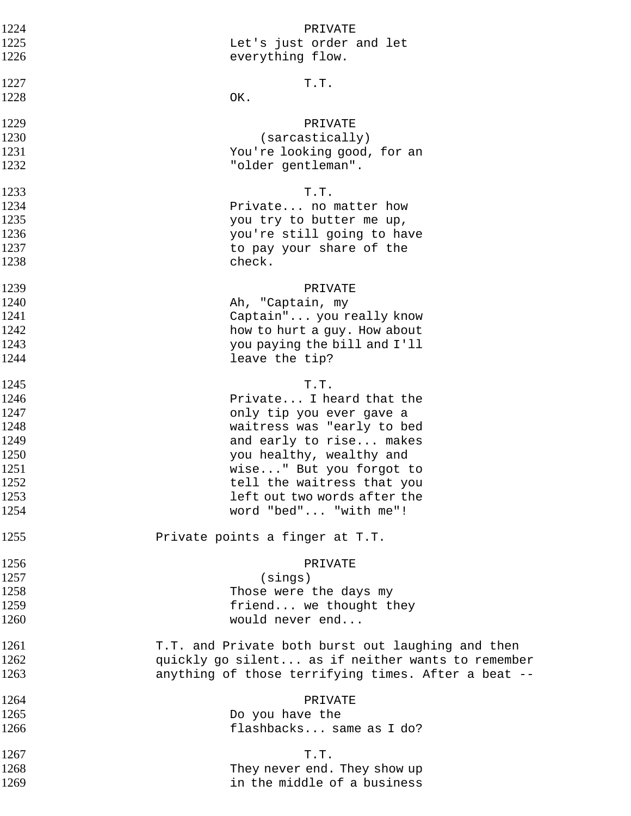| 1224 | PRIVATE                                             |
|------|-----------------------------------------------------|
| 1225 | Let's just order and let                            |
| 1226 | everything flow.                                    |
| 1227 | T.T.                                                |
| 1228 | OK.                                                 |
| 1229 | PRIVATE                                             |
| 1230 | (sarcastically)                                     |
| 1231 | You're looking good, for an                         |
| 1232 | "older gentleman".                                  |
| 1233 | T.T.                                                |
| 1234 | Private no matter how                               |
| 1235 | you try to butter me up,                            |
| 1236 | you're still going to have                          |
| 1237 | to pay your share of the                            |
| 1238 | check.                                              |
| 1239 | PRIVATE                                             |
| 1240 | Ah, "Captain, my                                    |
| 1241 | Captain" you really know                            |
| 1242 | how to hurt a guy. How about                        |
| 1243 | you paying the bill and I'll                        |
| 1244 | leave the tip?                                      |
| 1245 | T.T.                                                |
| 1246 | Private I heard that the                            |
| 1247 | only tip you ever gave a                            |
| 1248 | waitress was "early to bed                          |
| 1249 | and early to rise makes                             |
| 1250 | you healthy, wealthy and                            |
| 1251 | wise" But you forgot to                             |
| 1252 | tell the waitress that you                          |
| 1253 | left out two words after the                        |
| 1254 | word "bed" "with me"!                               |
| 1255 | Private points a finger at T.T.                     |
| 1256 | PRIVATE                                             |
| 1257 | (sings)                                             |
| 1258 | Those were the days my                              |
| 1259 | friend we thought they                              |
| 1260 | would never end                                     |
| 1261 | T.T. and Private both burst out laughing and then   |
| 1262 | quickly go silent as if neither wants to remember   |
| 1263 | anything of those terrifying times. After a beat -- |
| 1264 | PRIVATE                                             |
| 1265 | Do you have the                                     |
| 1266 | flashbacks same as I do?                            |
| 1267 | T.T.                                                |
| 1268 | They never end. They show up                        |
| 1269 | in the middle of a business                         |
|      |                                                     |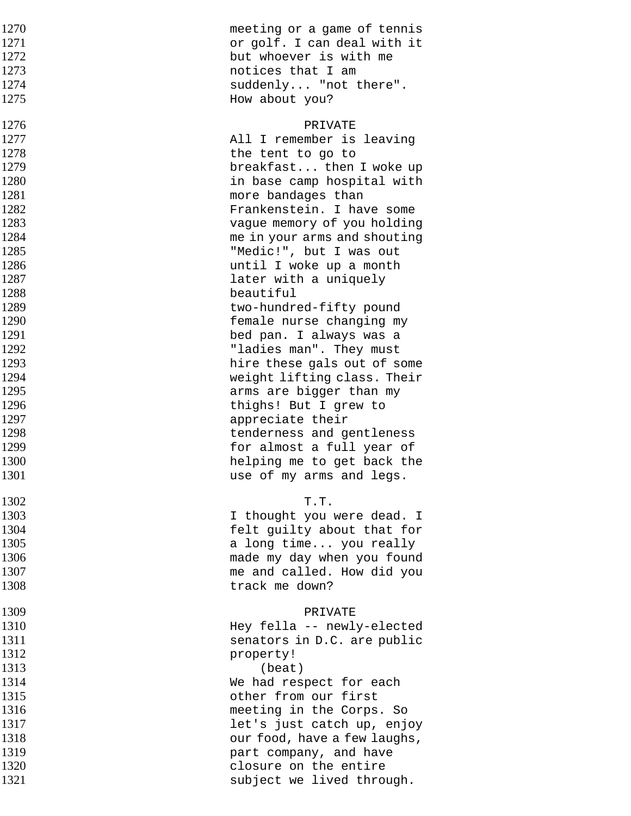| 1270 | meeting or a game of tennis  |
|------|------------------------------|
| 1271 | or golf. I can deal with it  |
| 1272 | but whoever is with me       |
| 1273 | notices that I am            |
| 1274 | suddenly "not there".        |
| 1275 | How about you?               |
| 1276 | PRIVATE                      |
| 1277 | All I remember is leaving    |
| 1278 | the tent to go to            |
| 1279 | breakfast then I woke up     |
| 1280 | in base camp hospital with   |
| 1281 | more bandages than           |
| 1282 | Frankenstein. I have some    |
| 1283 | vague memory of you holding  |
| 1284 | me in your arms and shouting |
| 1285 | "Medic!", but I was out      |
| 1286 | until I woke up a month      |
| 1287 | later with a uniquely        |
| 1288 | beautiful                    |
| 1289 | two-hundred-fifty pound      |
| 1290 | female nurse changing my     |
| 1291 | bed pan. I always was a      |
| 1292 | "ladies man". They must      |
| 1293 | hire these gals out of some  |
| 1294 | weight lifting class. Their  |
| 1295 | arms are bigger than my      |
| 1296 | thighs! But I grew to        |
| 1297 | appreciate their             |
| 1298 | tenderness and gentleness    |
| 1299 | for almost a full year of    |
| 1300 | helping me to get back the   |
| 1301 | use of my arms and legs.     |
| 1302 | T.T.                         |
| 1303 | I thought you were dead. I   |
| 1304 | felt guilty about that for   |
| 1305 | a long time you really       |
| 1306 | made my day when you found   |
| 1307 | me and called. How did you   |
| 1308 | track me down?               |
| 1309 | PRIVATE                      |
| 1310 | Hey fella -- newly-elected   |
| 1311 | senators in D.C. are public  |
| 1312 | property!                    |
| 1313 | (beat)                       |
| 1314 | We had respect for each      |
| 1315 | other from our first         |
| 1316 | meeting in the Corps. So     |
| 1317 | let's just catch up, enjoy   |
| 1318 | our food, have a few laughs, |
| 1319 | part company, and have       |
| 1320 | closure on the entire        |
| 1321 | subject we lived through.    |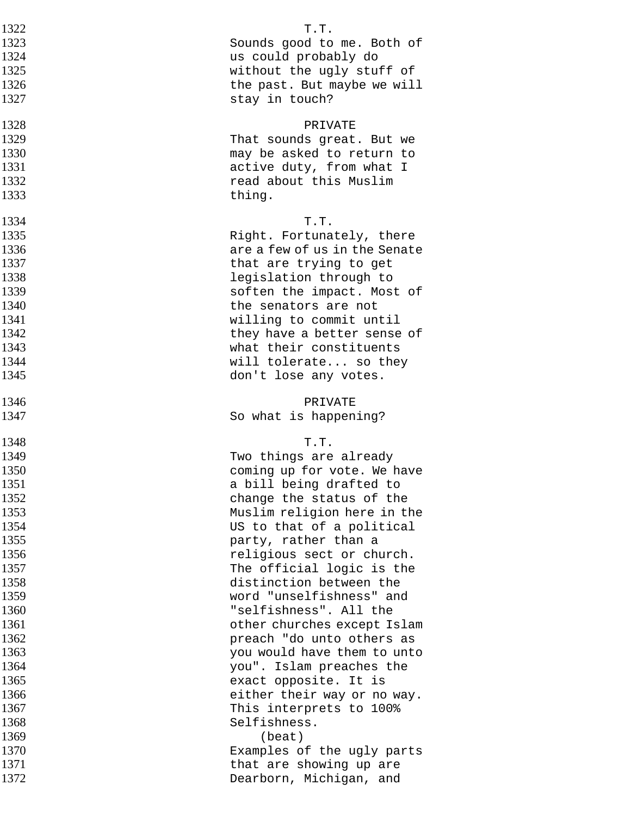| 1322 | T.T.                          |
|------|-------------------------------|
| 1323 | Sounds good to me. Both of    |
| 1324 | us could probably do          |
| 1325 | without the ugly stuff of     |
| 1326 | the past. But maybe we will   |
| 1327 | stay in touch?                |
| 1328 | PRIVATE                       |
| 1329 | That sounds great. But we     |
| 1330 | may be asked to return to     |
| 1331 | active duty, from what I      |
| 1332 | read about this Muslim        |
| 1333 | thing.                        |
| 1334 | T.T.                          |
| 1335 | Right. Fortunately, there     |
| 1336 | are a few of us in the Senate |
| 1337 | that are trying to get        |
| 1338 | legislation through to        |
| 1339 | soften the impact. Most of    |
| 1340 | the senators are not          |
| 1341 | willing to commit until       |
| 1342 | they have a better sense of   |
| 1343 | what their constituents       |
| 1344 | will tolerate so they         |
| 1345 | don't lose any votes.         |
| 1346 | PRIVATE                       |
| 1347 | So what is happening?         |
| 1348 | T.T.                          |
| 1349 | Two things are already        |
| 1350 | coming up for vote. We have   |
| 1351 | a bill being drafted to       |
| 1352 | change the status of the      |
| 1353 | Muslim religion here in the   |
| 1354 | US to that of a political     |
| 1355 | party, rather than a          |
| 1356 | religious sect or church.     |
| 1357 | The official logic is the     |
| 1358 | distinction between the       |
| 1359 | word "unselfishness" and      |
| 1360 | "selfishness". All the        |
| 1361 | other churches except Islam   |
| 1362 | preach "do unto others as     |
| 1363 | you would have them to unto   |
| 1364 | you". Islam preaches the      |
| 1365 | exact opposite. It is         |
| 1366 | either their way or no way.   |
| 1367 | This interprets to 100%       |
| 1368 | Selfishness.                  |
| 1369 | (beat)                        |
| 1370 | Examples of the ugly parts    |
| 1371 | that are showing up are       |
| 1372 | Dearborn, Michigan, and       |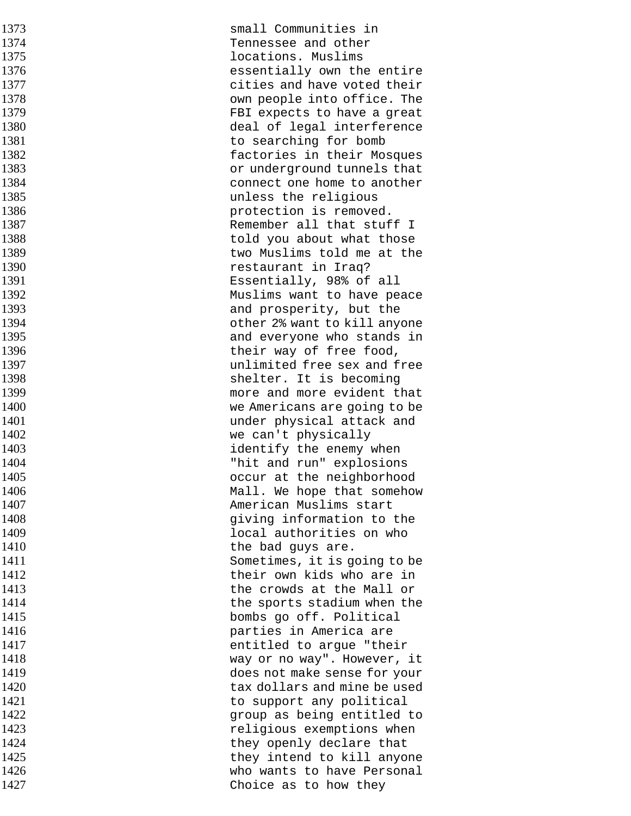| 1373         | small Communities in                                      |
|--------------|-----------------------------------------------------------|
| 1374         | Tennessee and other                                       |
| 1375         | locations. Muslims                                        |
| 1376         | essentially own the entire                                |
| 1377         | cities and have voted their                               |
| 1378         | own people into office. The                               |
| 1379         | FBI expects to have a great                               |
| 1380         | deal of legal interference                                |
| 1381         | to searching for bomb                                     |
| 1382         | factories in their Mosques                                |
| 1383         | or underground tunnels that                               |
| 1384         | connect one home to another                               |
| 1385         | unless the religious                                      |
| 1386         | protection is removed.                                    |
| 1387         | Remember all that stuff I                                 |
| 1388         | told you about what those                                 |
| 1389         | two Muslims told me at the                                |
| 1390         | restaurant in Iraq?                                       |
| 1391         | Essentially, 98% of all                                   |
| 1392         | Muslims want to have peace                                |
| 1393         | and prosperity, but the                                   |
| 1394         | other 2% want to kill anyone                              |
| 1395         | and everyone who stands in                                |
| 1396         | their way of free food,                                   |
| 1397         | unlimited free sex and free                               |
| 1398         | shelter. It is becoming                                   |
| 1399         | more and more evident that                                |
| 1400         | we Americans are going to be                              |
| 1401         | under physical attack and                                 |
| 1402         | we can't physically                                       |
| 1403         | identify the enemy when                                   |
| 1404         | "hit and run" explosions                                  |
| 1405         | occur at the neighborhood                                 |
| 1406         | Mall. We hope that somehow                                |
| 1407         | American Muslims start                                    |
| 1408         |                                                           |
| 1409         | giving information to the                                 |
|              | local authorities on who                                  |
| 1410<br>1411 | the bad guys are.                                         |
|              | Sometimes, it is going to be<br>their own kids who are in |
| 1412<br>1413 |                                                           |
|              | the crowds at the Mall or                                 |
| 1414         | the sports stadium when the                               |
| 1415         | bombs go off. Political                                   |
| 1416         | parties in America are                                    |
| 1417         | entitled to argue "their                                  |
| 1418         | way or no way". However, it                               |
| 1419         | does not make sense for your                              |
| 1420         | tax dollars and mine be used                              |
| 1421         | to support any political                                  |
| 1422         | group as being entitled to                                |
| 1423         | religious exemptions when                                 |
| 1424         | they openly declare that                                  |
| 1425         | they intend to kill anyone                                |
| 1426         | who wants to have Personal                                |
| 1427         | Choice as to how they                                     |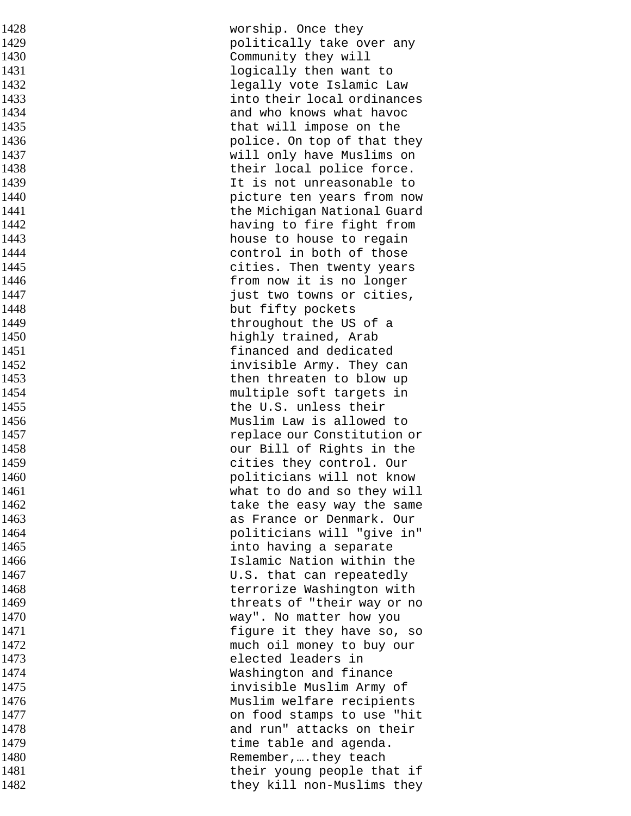| 1428 | worship. Once they          |
|------|-----------------------------|
| 1429 | politically take over any   |
| 1430 | Community they will         |
| 1431 | logically then want to      |
| 1432 | legally vote Islamic Law    |
| 1433 | into their local ordinances |
| 1434 | and who knows what havoc    |
| 1435 | that will impose on the     |
| 1436 | police. On top of that they |
| 1437 | will only have Muslims on   |
| 1438 | their local police force.   |
| 1439 | It is not unreasonable to   |
| 1440 | picture ten years from now  |
| 1441 | the Michigan National Guard |
| 1442 | having to fire fight from   |
| 1443 | house to house to regain    |
| 1444 | control in both of those    |
| 1445 | cities. Then twenty years   |
| 1446 | from now it is no longer    |
| 1447 | just two towns or cities,   |
| 1448 | but fifty pockets           |
| 1449 | throughout the US of a      |
| 1450 | highly trained, Arab        |
| 1451 | financed and dedicated      |
| 1452 | invisible Army. They can    |
| 1453 | then threaten to blow up    |
| 1454 | multiple soft targets in    |
| 1455 | the U.S. unless their       |
| 1456 | Muslim Law is allowed to    |
| 1457 | replace our Constitution or |
| 1458 | our Bill of Rights in the   |
| 1459 | cities they control. Our    |
| 1460 | politicians will not know   |
| 1461 | what to do and so they will |
| 1462 | take the easy way the same  |
| 1463 | as France or Denmark. Our   |
| 1464 | politicians will "give in"  |
| 1465 | into having a separate      |
| 1466 | Islamic Nation within the   |
| 1467 | U.S. that can repeatedly    |
| 1468 | terrorize Washington with   |
| 1469 | threats of "their way or no |
| 1470 | way". No matter how you     |
| 1471 | figure it they have so, so  |
| 1472 | much oil money to buy our   |
| 1473 | elected leaders in          |
| 1474 | Washington and finance      |
| 1475 | invisible Muslim Army of    |
| 1476 | Muslim welfare recipients   |
| 1477 | on food stamps to use "hit  |
| 1478 | and run" attacks on their   |
| 1479 | time table and agenda.      |
| 1480 | Remember,they teach         |
| 1481 | their young people that if  |
| 1482 | they kill non-Muslims they  |
|      |                             |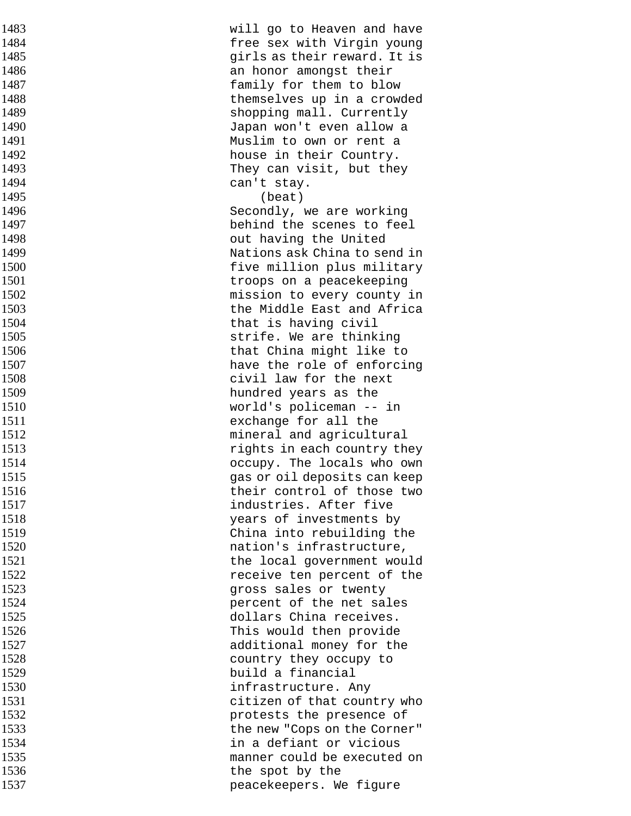| 1483 | will go to Heaven and have   |
|------|------------------------------|
| 1484 | free sex with Virgin young   |
| 1485 | girls as their reward. It is |
| 1486 | an honor amongst their       |
| 1487 | family for them to blow      |
| 1488 | themselves up in a crowded   |
| 1489 | shopping mall. Currently     |
| 1490 | Japan won't even allow a     |
| 1491 | Muslim to own or rent a      |
| 1492 | house in their Country.      |
| 1493 | They can visit, but they     |
| 1494 | can't stay.                  |
| 1495 | (beat)                       |
| 1496 | Secondly, we are working     |
| 1497 | behind the scenes to feel    |
| 1498 | out having the United        |
| 1499 | Nations ask China to send in |
| 1500 | five million plus military   |
| 1501 | troops on a peacekeeping     |
| 1502 | mission to every county in   |
| 1503 | the Middle East and Africa   |
| 1504 | that is having civil         |
| 1505 | strife. We are thinking      |
| 1506 | that China might like to     |
| 1507 | have the role of enforcing   |
| 1508 | civil law for the next       |
| 1509 | hundred years as the         |
| 1510 | world's policeman -- in      |
| 1511 | exchange for all the         |
| 1512 | mineral and agricultural     |
| 1513 | rights in each country they  |
| 1514 | occupy. The locals who own   |
| 1515 | gas or oil deposits can keep |
| 1516 | their control of those two   |
| 1517 | industries. After five       |
| 1518 | years of investments by      |
| 1519 | China into rebuilding the    |
| 1520 | nation's infrastructure,     |
| 1521 | the local government would   |
| 1522 | receive ten percent of the   |
| 1523 | gross sales or twenty        |
| 1524 | percent of the net sales     |
| 1525 | dollars China receives.      |
| 1526 | This would then provide      |
| 1527 | additional money for the     |
| 1528 | country they occupy to       |
| 1529 | build a financial            |
| 1530 | infrastructure. Any          |
| 1531 | citizen of that country who  |
| 1532 | protests the presence of     |
| 1533 | the new "Cops on the Corner" |
| 1534 | in a defiant or vicious      |
| 1535 | manner could be executed on  |
| 1536 | the spot by the              |
| 1537 | peacekeepers. We figure      |
|      |                              |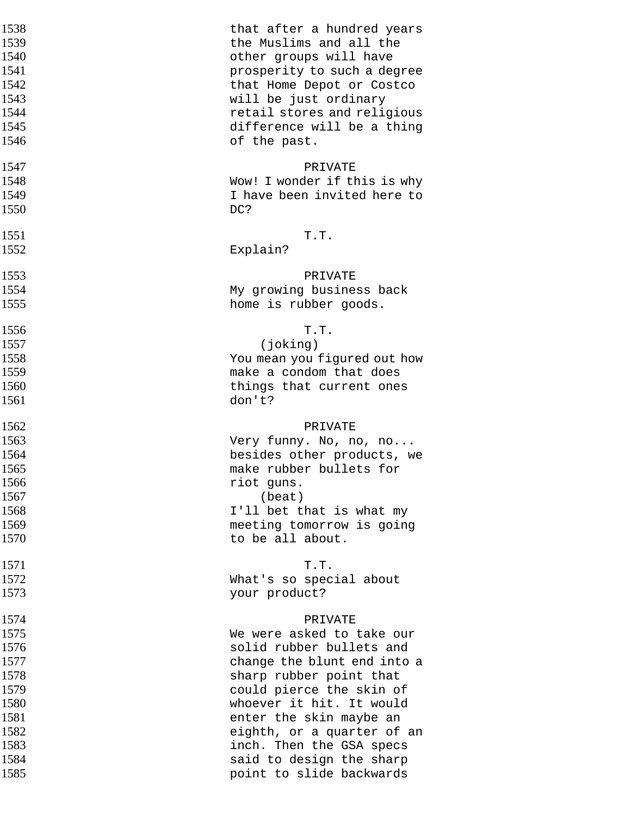| 1538 | that after a hundred years   |
|------|------------------------------|
| 1539 | the Muslims and all the      |
| 1540 | other groups will have       |
| 1541 | prosperity to such a degree  |
| 1542 | that Home Depot or Costco    |
| 1543 | will be just ordinary        |
| 1544 | retail stores and religious  |
| 1545 | difference will be a thing   |
| 1546 | of the past.                 |
| 1547 | PRIVATE                      |
| 1548 | Wow! I wonder if this is why |
| 1549 | I have been invited here to  |
| 1550 | DC?                          |
| 1551 | T.T.                         |
| 1552 | Explain?                     |
| 1553 | PRIVATE                      |
| 1554 | My growing business back     |
| 1555 | home is rubber goods.        |
| 1556 | T.T.                         |
| 1557 | (joking)                     |
| 1558 | You mean you figured out how |
| 1559 | make a condom that does      |
| 1560 | things that current ones     |
| 1561 | don't?                       |
| 1562 | PRIVATE                      |
| 1563 | Very funny. No, no, no       |
| 1564 | besides other products, we   |
| 1565 | make rubber bullets for      |
| 1566 | riot guns.                   |
| 1567 | (beat)                       |
| 1568 | I'll bet that is what my     |
| 1569 | meeting tomorrow is going    |
| 1570 | to be all about.             |
| 1571 | T.T.                         |
| 1572 | What's so special about      |
| 1573 | your product?                |
| 1574 | PRIVATE                      |
| 1575 | We were asked to take our    |
| 1576 | solid rubber bullets and     |
| 1577 | change the blunt end into a  |
| 1578 | sharp rubber point that      |
| 1579 | could pierce the skin of     |
| 1580 | whoever it hit. It would     |
| 1581 | enter the skin maybe an      |
| 1582 | eighth, or a quarter of an   |
| 1583 | inch. Then the GSA specs     |
| 1584 | said to design the sharp     |
| 1585 | point to slide backwards     |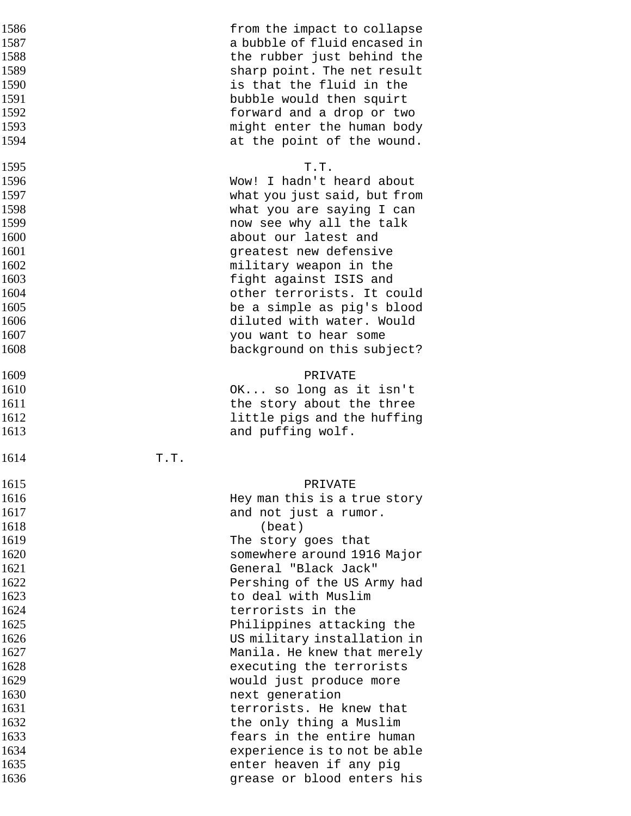| 1586 |      | from the impact to collapse  |
|------|------|------------------------------|
| 1587 |      | a bubble of fluid encased in |
| 1588 |      | the rubber just behind the   |
| 1589 |      | sharp point. The net result  |
| 1590 |      | is that the fluid in the     |
| 1591 |      | bubble would then squirt     |
| 1592 |      | forward and a drop or two    |
| 1593 |      | might enter the human body   |
| 1594 |      | at the point of the wound.   |
| 1595 |      | T.T.                         |
| 1596 |      | Wow! I hadn't heard about    |
| 1597 |      | what you just said, but from |
| 1598 |      | what you are saying I can    |
| 1599 |      | now see why all the talk     |
| 1600 |      | about our latest and         |
| 1601 |      | greatest new defensive       |
| 1602 |      | military weapon in the       |
| 1603 |      | fight against ISIS and       |
| 1604 |      | other terrorists. It could   |
| 1605 |      | be a simple as pig's blood   |
| 1606 |      | diluted with water. Would    |
| 1607 |      | you want to hear some        |
| 1608 |      | background on this subject?  |
|      |      |                              |
| 1609 |      | PRIVATE                      |
| 1610 |      | OK so long as it isn't       |
| 1611 |      | the story about the three    |
| 1612 |      | little pigs and the huffing  |
| 1613 |      | and puffing wolf.            |
| 1614 | T.T. |                              |
|      |      |                              |
| 1615 |      | PRIVATE                      |
| 1616 |      | Hey man this is a true story |
| 1617 |      | and not just a rumor.        |
| 1618 |      | (beat)                       |
| 1619 |      | The story goes that          |
| 1620 |      | somewhere around 1916 Major  |
| 1621 |      | General "Black Jack"         |
| 1622 |      | Pershing of the US Army had  |
| 1623 |      | to deal with Muslim          |
| 1624 |      | terrorists in the            |
| 1625 |      | Philippines attacking the    |
| 1626 |      | US military installation in  |
| 1627 |      | Manila. He knew that merely  |
| 1628 |      | executing the terrorists     |
| 1629 |      | would just produce more      |
| 1630 |      | next generation              |
| 1631 |      | terrorists. He knew that     |
| 1632 |      | the only thing a Muslim      |
| 1633 |      | fears in the entire human    |
| 1634 |      | experience is to not be able |
| 1635 |      | enter heaven if any pig      |
| 1636 |      | grease or blood enters his   |
|      |      |                              |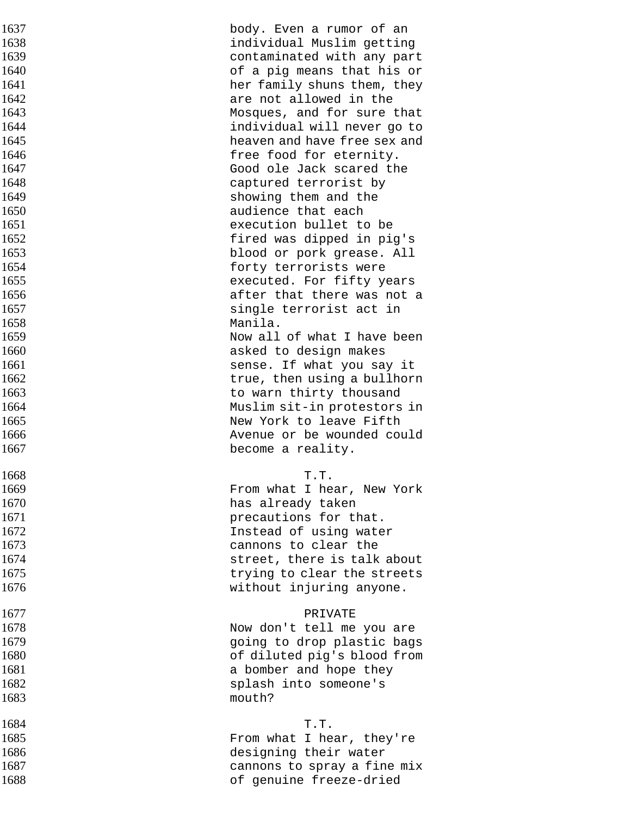| 1637 | body. Even a rumor of an     |
|------|------------------------------|
| 1638 | individual Muslim getting    |
| 1639 | contaminated with any part   |
| 1640 | of a pig means that his or   |
| 1641 | her family shuns them, they  |
| 1642 | are not allowed in the       |
| 1643 | Mosques, and for sure that   |
| 1644 | individual will never go to  |
| 1645 | heaven and have free sex and |
| 1646 | free food for eternity.      |
| 1647 | Good ole Jack scared the     |
| 1648 |                              |
|      | captured terrorist by        |
| 1649 | showing them and the         |
| 1650 | audience that each           |
| 1651 | execution bullet to be       |
| 1652 | fired was dipped in pig's    |
| 1653 | blood or pork grease. All    |
| 1654 | forty terrorists were        |
| 1655 | executed. For fifty years    |
| 1656 | after that there was not a   |
| 1657 | single terrorist act in      |
| 1658 | Manila.                      |
| 1659 | Now all of what I have been  |
| 1660 | asked to design makes        |
| 1661 | sense. If what you say it    |
| 1662 | true, then using a bullhorn  |
| 1663 | to warn thirty thousand      |
| 1664 | Muslim sit-in protestors in  |
| 1665 | New York to leave Fifth      |
| 1666 | Avenue or be wounded could   |
| 1667 | become a reality.            |
| 1668 | T.T.                         |
| 1669 | From what I hear, New York   |
| 1670 | has already taken            |
| 1671 | precautions for that.        |
| 1672 |                              |
| 1673 | Instead of using water       |
|      | cannons to clear the         |
| 1674 | street, there is talk about  |
| 1675 | trying to clear the streets  |
| 1676 | without injuring anyone.     |
| 1677 | PRIVATE                      |
| 1678 | Now don't tell me you are    |
| 1679 | going to drop plastic bags   |
| 1680 | of diluted pig's blood from  |
| 1681 | a bomber and hope they       |
| 1682 | splash into someone's        |
| 1683 | mouth?                       |
| 1684 | T.T.                         |
| 1685 | From what I hear, they're    |
| 1686 | designing their water        |
| 1687 | cannons to spray a fine mix  |
| 1688 | of genuine freeze-dried      |
|      |                              |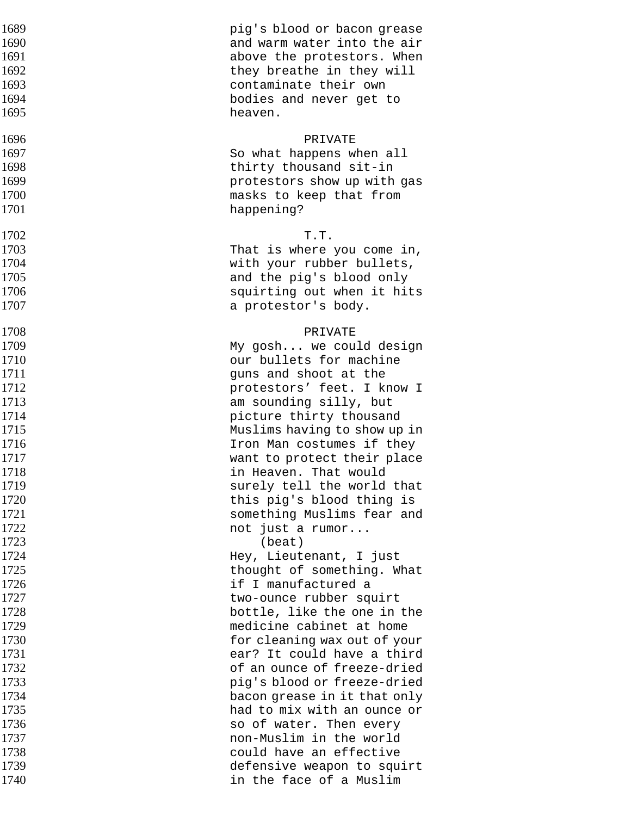| 1689         | pig's blood or bacon grease                       |
|--------------|---------------------------------------------------|
| 1690         | and warm water into the air                       |
| 1691         | above the protestors. When                        |
| 1692         | they breathe in they will                         |
| 1693         | contaminate their own                             |
| 1694         | bodies and never get to                           |
| 1695         | heaven.                                           |
| 1696         | PRIVATE                                           |
| 1697         | So what happens when all                          |
| 1698         | thirty thousand sit-in                            |
| 1699         | protestors show up with gas                       |
| 1700         | masks to keep that from                           |
| 1701         | happening?                                        |
| 1702         | T.T.                                              |
| 1703         | That is where you come in,                        |
| 1704         | with your rubber bullets,                         |
| 1705         | and the pig's blood only                          |
| 1706         | squirting out when it hits                        |
| 1707         | a protestor's body.                               |
| 1708         | PRIVATE                                           |
| 1709         | My gosh we could design                           |
| 1710         | our bullets for machine                           |
| 1711         | guns and shoot at the                             |
| 1712         | protestors' feet. I know I                        |
| 1713         | am sounding silly, but                            |
| 1714         | picture thirty thousand                           |
| 1715         | Muslims having to show up in                      |
| 1716         | Iron Man costumes if they                         |
| 1717         | want to protect their place                       |
| 1718         | in Heaven. That would                             |
| 1719         | surely tell the world that                        |
| 1720         | this pig's blood thing is                         |
| 1721         | something Muslims fear and                        |
| 1722         | not just a rumor                                  |
| 1723         | (beat)                                            |
| 1724         | Hey, Lieutenant, I just                           |
| 1725<br>1726 | thought of something. What<br>if I manufactured a |
| 1727         | two-ounce rubber squirt                           |
| 1728         | bottle, like the one in the                       |
| 1729         | medicine cabinet at home                          |
| 1730         | for cleaning wax out of your                      |
| 1731         | ear? It could have a third                        |
| 1732         | of an ounce of freeze-dried                       |
| 1733         | pig's blood or freeze-dried                       |
| 1734         | bacon grease in it that only                      |
| 1735         | had to mix with an ounce or                       |
| 1736         | so of water. Then every                           |
| 1737         | non-Muslim in the world                           |
| 1738         | could have an effective                           |
| 1739         | defensive weapon to squirt                        |
| 1740         | in the face of a Muslim                           |
|              |                                                   |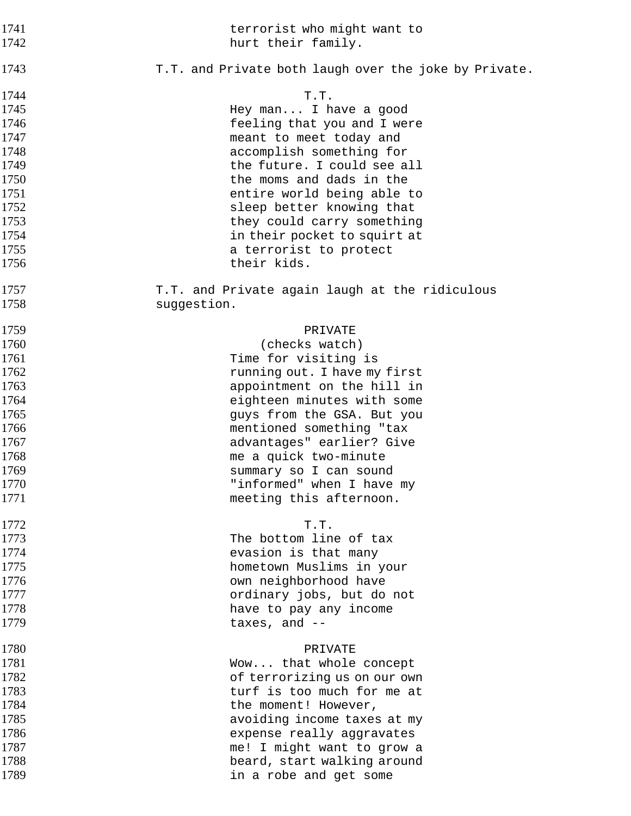| 1741<br>1742 | terrorist who might want to<br>hurt their family.     |
|--------------|-------------------------------------------------------|
| 1743         | T.T. and Private both laugh over the joke by Private. |
| 1744         | T.T.                                                  |
| 1745         | Hey man I have a good                                 |
| 1746         | feeling that you and I were                           |
| 1747         | meant to meet today and                               |
| 1748         | accomplish something for                              |
| 1749         | the future. I could see all                           |
| 1750         | the moms and dads in the                              |
| 1751         | entire world being able to                            |
| 1752         | sleep better knowing that                             |
| 1753         | they could carry something                            |
| 1754         | in their pocket to squirt at                          |
| 1755         |                                                       |
|              | a terrorist to protect                                |
| 1756         | their kids.                                           |
| 1757         | T.T. and Private again laugh at the ridiculous        |
| 1758         | suggestion.                                           |
| 1759         | PRIVATE                                               |
| 1760         | (checks watch)                                        |
| 1761         | Time for visiting is                                  |
| 1762         | running out. I have my first                          |
| 1763         | appointment on the hill in                            |
| 1764         | eighteen minutes with some                            |
| 1765         | guys from the GSA. But you                            |
| 1766         | mentioned something "tax                              |
| 1767         | advantages" earlier? Give                             |
| 1768         | me a quick two-minute                                 |
| 1769         | summary so I can sound                                |
| 1770         | "informed" when I have my                             |
| 1771         | meeting this afternoon.                               |
|              |                                                       |
| 1772         | T.T.                                                  |
| 1773         | The bottom line of tax                                |
| 1774         | evasion is that many                                  |
| 1775         | hometown Muslims in your                              |
| 1776         | own neighborhood have                                 |
| 1777         | ordinary jobs, but do not                             |
| 1778         | have to pay any income                                |
| 1779         | taxes, and $--$                                       |
| 1780         | PRIVATE                                               |
| 1781         | Wow that whole concept                                |
| 1782         | of terrorizing us on our own                          |
| 1783         | turf is too much for me at                            |
| 1784         | the moment! However,                                  |
| 1785         | avoiding income taxes at my                           |
| 1786         | expense really aggravates                             |
| 1787         |                                                       |
| 1788         | me! I might want to grow a                            |
|              | beard, start walking around                           |
| 1789         | in a robe and get some                                |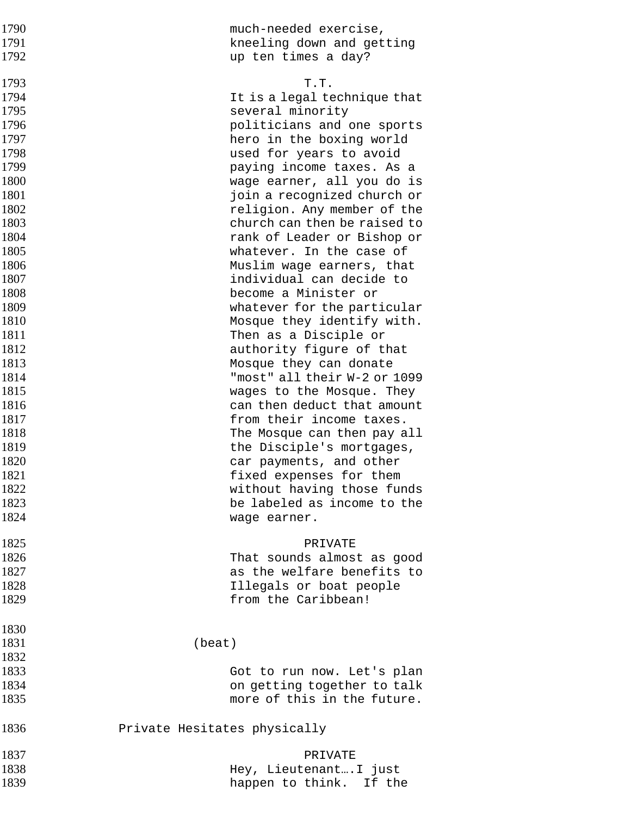| 1790 | much-needed exercise,                                     |
|------|-----------------------------------------------------------|
| 1791 | kneeling down and getting                                 |
| 1792 | up ten times a day?                                       |
|      |                                                           |
| 1793 | T.T.                                                      |
| 1794 | It is a legal technique that                              |
| 1795 | several minority                                          |
| 1796 | politicians and one sports                                |
| 1797 | hero in the boxing world                                  |
| 1798 | used for years to avoid                                   |
| 1799 | paying income taxes. As a                                 |
| 1800 | wage earner, all you do is                                |
| 1801 | join a recognized church or                               |
| 1802 | religion. Any member of the                               |
| 1803 | church can then be raised to                              |
| 1804 | rank of Leader or Bishop or                               |
| 1805 | whatever. In the case of                                  |
| 1806 | Muslim wage earners, that                                 |
| 1807 | individual can decide to                                  |
| 1808 | become a Minister or                                      |
| 1809 | whatever for the particular                               |
| 1810 | Mosque they identify with.                                |
| 1811 | Then as a Disciple or                                     |
| 1812 | authority figure of that                                  |
| 1813 | Mosque they can donate                                    |
| 1814 | "most" all their W-2 or 1099                              |
| 1815 | wages to the Mosque. They                                 |
| 1816 | can then deduct that amount                               |
| 1817 | from their income taxes.                                  |
| 1818 | The Mosque can then pay all                               |
| 1819 | the Disciple's mortgages,                                 |
| 1820 | car payments, and other                                   |
| 1821 | fixed expenses for them                                   |
| 1822 | without having those funds                                |
| 1823 | be labeled as income to the                               |
| 1824 | wage earner.                                              |
|      |                                                           |
| 1825 | PRIVATE                                                   |
| 1826 | That sounds almost as good                                |
| 1827 | as the welfare benefits to                                |
| 1828 | Illegals or boat people                                   |
| 1829 | from the Caribbean!                                       |
| 1830 |                                                           |
| 1831 | (beat)                                                    |
| 1832 |                                                           |
| 1833 |                                                           |
| 1834 | Got to run now. Let's plan<br>on getting together to talk |
| 1835 | more of this in the future.                               |
|      |                                                           |
| 1836 | Private Hesitates physically                              |
| 1837 | PRIVATE                                                   |
| 1838 | Hey, Lieutenant I just                                    |
| 1839 | happen to think. If the                                   |
|      |                                                           |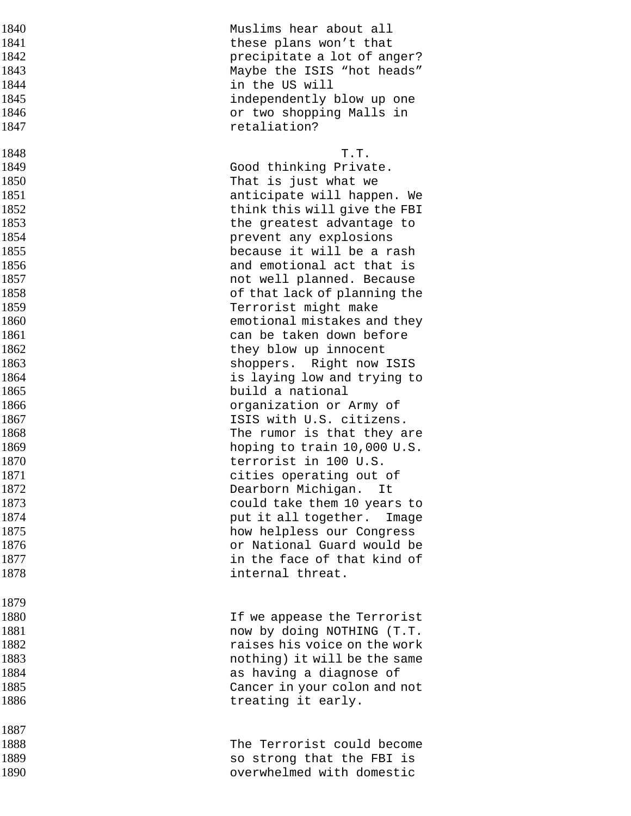| 1840 | Muslims hear about all        |
|------|-------------------------------|
| 1841 | these plans won't that        |
| 1842 | precipitate a lot of anger?   |
| 1843 | Maybe the ISIS "hot heads"    |
| 1844 | in the US will                |
| 1845 | independently blow up one     |
| 1846 | or two shopping Malls in      |
| 1847 | retaliation?                  |
| 1848 | T.T.                          |
| 1849 | Good thinking Private.        |
| 1850 | That is just what we          |
| 1851 | anticipate will happen. We    |
| 1852 | think this will give the FBI  |
| 1853 | the greatest advantage to     |
| 1854 | prevent any explosions        |
| 1855 | because it will be a rash     |
| 1856 | and emotional act that is     |
| 1857 | not well planned. Because     |
| 1858 | of that lack of planning the  |
| 1859 | Terrorist might make          |
| 1860 | emotional mistakes and they   |
| 1861 | can be taken down before      |
| 1862 | they blow up innocent         |
| 1863 | shoppers. Right now ISIS      |
| 1864 | is laying low and trying to   |
| 1865 | build a national              |
| 1866 | organization or Army of       |
| 1867 | ISIS with U.S. citizens.      |
| 1868 | The rumor is that they are    |
| 1869 | hoping to train 10,000 U.S.   |
| 1870 | terrorist in 100 U.S.         |
| 1871 | cities operating out of       |
| 1872 | Dearborn Michigan.<br>It      |
| 1873 | could take them 10 years to   |
| 1874 | put it all together.<br>Image |
| 1875 | how helpless our Congress     |
| 1876 | or National Guard would be    |
| 1877 | in the face of that kind of   |
| 1878 | internal threat.              |
| 1879 |                               |
| 1880 | If we appease the Terrorist   |
| 1881 | now by doing NOTHING (T.T.    |
| 1882 | raises his voice on the work  |
| 1883 | nothing) it will be the same  |
| 1884 | as having a diagnose of       |
| 1885 | Cancer in your colon and not  |
| 1886 | treating it early.            |
|      |                               |
| 1887 |                               |
| 1888 | The Terrorist could become    |
| 1889 | so strong that the FBI is     |
| 1890 | overwhelmed with domestic     |